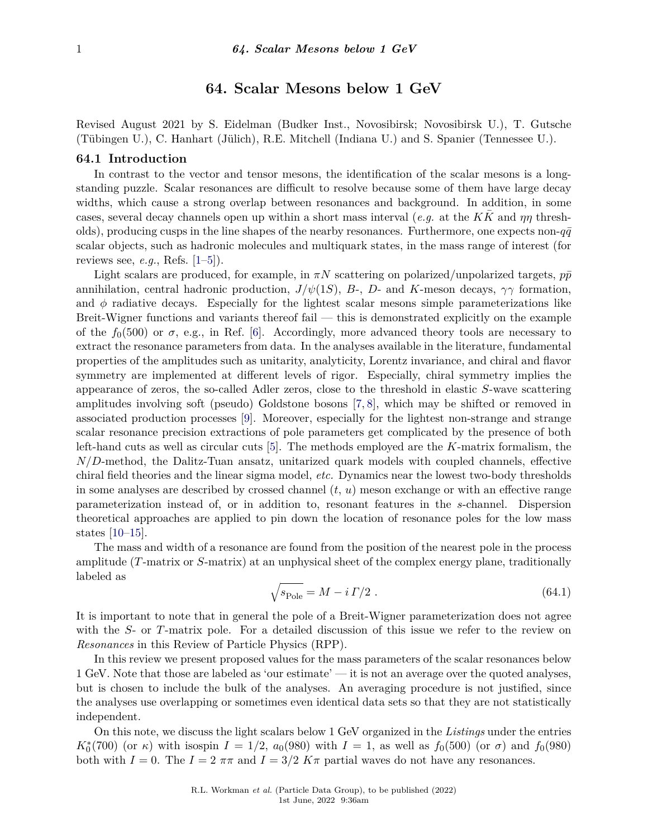# **64. Scalar Mesons below 1 GeV**

Revised August 2021 by S. Eidelman (Budker Inst., Novosibirsk; Novosibirsk U.), T. Gutsche (Tübingen U.), C. Hanhart (Jülich), R.E. Mitchell (Indiana U.) and S. Spanier (Tennessee U.).

#### **64.1 Introduction**

In contrast to the vector and tensor mesons, the identification of the scalar mesons is a longstanding puzzle. Scalar resonances are difficult to resolve because some of them have large decay widths, which cause a strong overlap between resonances and background. In addition, in some cases, several decay channels open up within a short mass interval (*e.g.* at the *KK*¯ and *ηη* thresholds), producing cusps in the line shapes of the nearby resonances. Furthermore, one expects non- $q\bar{q}$ scalar objects, such as hadronic molecules and multiquark states, in the mass range of interest (for reviews see, *e.g.*, Refs. [\[1–](#page-8-0)[5\]](#page-8-1)).

Light scalars are produced, for example, in  $\pi N$  scattering on polarized/unpolarized targets,  $p\bar{p}$ annihilation, central hadronic production,  $J/\psi(1S)$ , *B*-, *D*- and *K*-meson decays,  $\gamma\gamma$  formation, and  $\phi$  radiative decays. Especially for the lightest scalar mesons simple parameterizations like Breit-Wigner functions and variants thereof fail — this is demonstrated explicitly on the example of the  $f_0(500)$  or  $\sigma$ , e.g., in Ref. [\[6\]](#page-8-2). Accordingly, more advanced theory tools are necessary to extract the resonance parameters from data. In the analyses available in the literature, fundamental properties of the amplitudes such as unitarity, analyticity, Lorentz invariance, and chiral and flavor symmetry are implemented at different levels of rigor. Especially, chiral symmetry implies the appearance of zeros, the so-called Adler zeros, close to the threshold in elastic *S*-wave scattering amplitudes involving soft (pseudo) Goldstone bosons [\[7,](#page-8-3) [8\]](#page-8-4), which may be shifted or removed in associated production processes [\[9\]](#page-8-5). Moreover, especially for the lightest non-strange and strange scalar resonance precision extractions of pole parameters get complicated by the presence of both left-hand cuts as well as circular cuts [\[5\]](#page-8-1). The methods employed are the *K*-matrix formalism, the *N/D*-method, the Dalitz-Tuan ansatz, unitarized quark models with coupled channels, effective chiral field theories and the linear sigma model, *etc.* Dynamics near the lowest two-body thresholds in some analyses are described by crossed channel (*t*, *u*) meson exchange or with an effective range parameterization instead of, or in addition to, resonant features in the *s*-channel. Dispersion theoretical approaches are applied to pin down the location of resonance poles for the low mass states [\[10](#page-8-6)[–15\]](#page-9-0).

The mass and width of a resonance are found from the position of the nearest pole in the process amplitude (*T*-matrix or *S*-matrix) at an unphysical sheet of the complex energy plane, traditionally labeled as

$$
\sqrt{s_{\text{Pole}}}=M-i\,\Gamma/2\ .\tag{64.1}
$$

It is important to note that in general the pole of a Breit-Wigner parameterization does not agree with the *S*- or *T*-matrix pole. For a detailed discussion of this issue we refer to the review on *Resonances* in this Review of Particle Physics (RPP).

In this review we present proposed values for the mass parameters of the scalar resonances below 1 GeV. Note that those are labeled as 'our estimate' — it is not an average over the quoted analyses, but is chosen to include the bulk of the analyses. An averaging procedure is not justified, since the analyses use overlapping or sometimes even identical data sets so that they are not statistically independent.

On this note, we discuss the light scalars below 1 GeV organized in the *Listings* under the entries *K*<sup>\*</sup><sub>0</sub>(700) (or *κ*) with isospin *I* = 1/2, *a*<sub>0</sub>(980) with *I* = 1, as well as *f*<sub>0</sub>(500) (or *σ*) and *f*<sub>0</sub>(980) both with  $I = 0$ . The  $I = 2 \pi \pi$  and  $I = 3/2 K \pi$  partial waves do not have any resonances.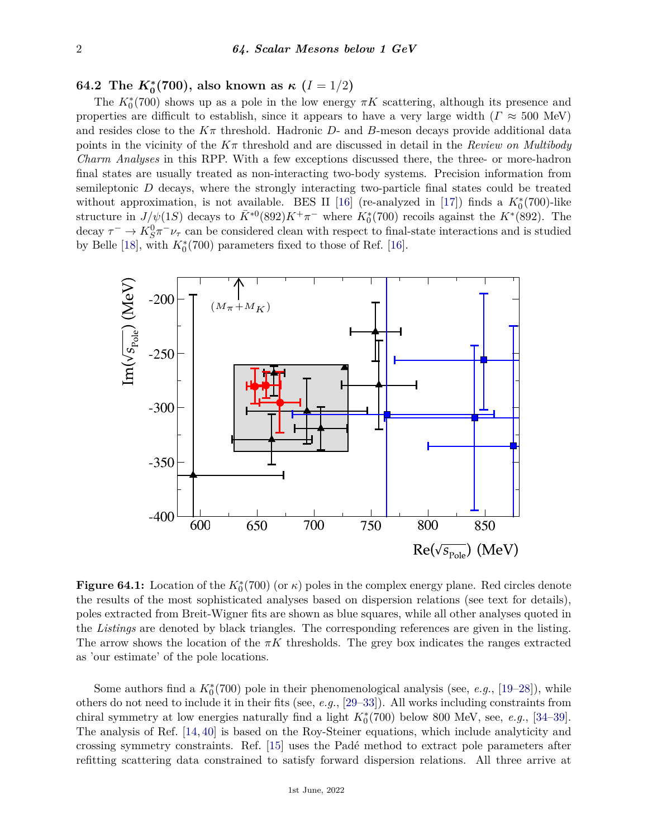**64.2** The  $K^*_0(700)$ , also known as  $\kappa$   $(I = 1/2)$ 

The  $K_0^*(700)$  shows up as a pole in the low energy  $\pi K$  scattering, although its presence and properties are difficult to establish, since it appears to have a very large width ( $\Gamma \approx 500$  MeV) and resides close to the  $K\pi$  threshold. Hadronic  $D$ - and  $B$ -meson decays provide additional data points in the vicinity of the *Kπ* threshold and are discussed in detail in the *Review on Multibody Charm Analyses* in this RPP. With a few exceptions discussed there, the three- or more-hadron Charm Analyses in this KPP. With a few exceptions discussed there, the three- or more-hadron<br>final states are usually treated as non-interacting two-body systems. Precision information from semileptonic *D* decays, where the strongly interacting two-particle final states could be treated without approximation, is not available. BES II [\[16\]](#page-9-1) (re-analyzed in [\[17\]](#page-9-2)) finds a  $K_0^*(700)$ -like structure in  $J/\psi(1S)$  decays to  $\bar{K}^{*0}(892)K^+\pi^-$  where  $K_0^*(700)$  recoils against the  $K^*(892)$ . The decay  $\tau^- \to K_S^0 \pi^- \nu_\tau$  can be considered clean with respect to final-state interactions and is studied by Belle [\[18\]](#page-9-3), with  $K_0^*(700)$  parameters fixed to those of Ref. [\[16\]](#page-9-1).



**Figure 64.1:** Location of the  $K_0^*(700)$  (or  $\kappa$ ) poles in the complex energy plane. Red circles denote the results of the most sophisticated analyses based on dispersion relations (see text for details), poles extracted from Breit-Wigner fits are shown as blue squares, while all other analyses quoted in the *Listings* are denoted by black triangles. The corresponding references are given in the listing. The arrow shows the location of the  $\pi K$  thresholds. The grey box indicates the ranges extracted as 'our estimate' of the pole locations.

Some authors find a  $K_0^*(700)$  pole in their phenomenological analysis (see, *e.g.*, [\[19](#page-9-4)[–28\]](#page-9-5)), while others do not need to include it in their fits (see, *e.g.*, [\[29–](#page-9-6)[33\]](#page-9-7)). All works including constraints from chiral symmetry at low energies naturally find a light  $K_0^*(700)$  below 800 MeV, see, *e.g.*, [\[34–](#page-9-8)[39\]](#page-9-9). The analysis of Ref. [\[14,](#page-8-7) [40\]](#page-9-10) is based on the Roy-Steiner equations, which include analyticity and crossing symmetry constraints. Ref. [\[15\]](#page-9-0) uses the Padé method to extract pole parameters after refitting scattering data constrained to satisfy forward dispersion relations. All three arrive at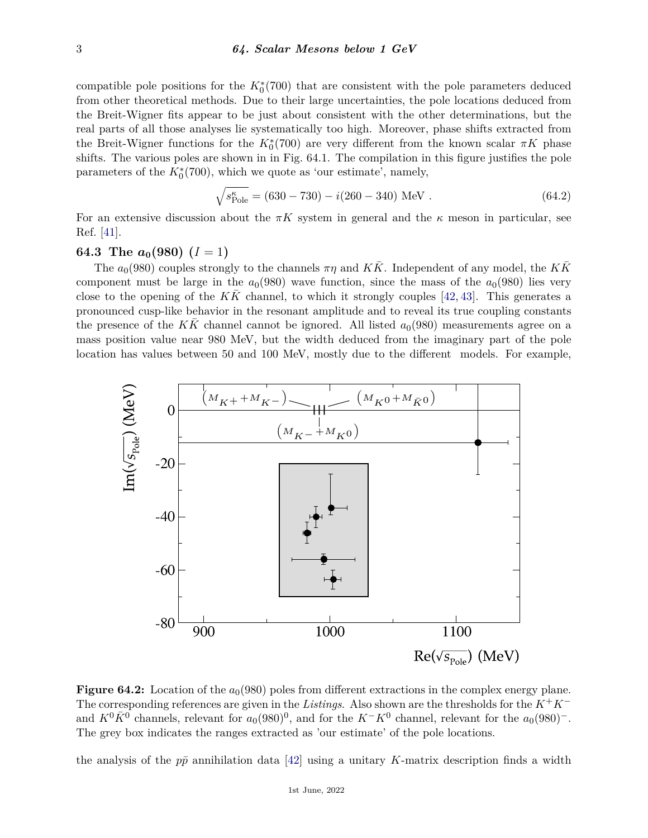compatible pole positions for the  $K_0^*(700)$  that are consistent with the pole parameters deduced from other theoretical methods. Due to their large uncertainties, the pole locations deduced from the Breit-Wigner fits appear to be just about consistent with the other determinations, but the real parts of all those analyses lie systematically too high. Moreover, phase shifts extracted from real parts of all those analyses lie systematically too high. Moreover, phase shifts extracted from the Breit-Wigner functions for the  $K_0^*(700)$  are very different from the known scalar  $\pi K$  phase shifts. The various poles are shown in in Fig. 64.1. The compilation in this figure justifies the pole parameters of the  $K_0^*(700)$ , which we quote as 'our estimate', namely,

$$
\sqrt{s_{\text{Pole}}^{\kappa}} = (630 - 730) - i(260 - 340) \text{ MeV}. \qquad (64.2)
$$

For an extensive discussion about the  $\pi K$  system in general and the  $\kappa$  meson in particular, see Ref. [\[41\]](#page-9-11).

# **64.3** The  $a_0(980)$   $(I = 1)$

The  $a_0(980)$  couples strongly to the channels  $\pi\eta$  and *KK*. Independent of any model, the *KK* component must be large in the  $a_0(980)$  wave function, since the mass of the  $a_0(980)$  lies very close to the opening of the  $K\bar{K}$  channel, to which it strongly couples [\[42,](#page-9-12) [43\]](#page-9-13). This generates a pronounced cusp-like behavior in the resonant amplitude and to reveal its true coupling constants the presence of the *KK* channel cannot be ignored. All listed  $a<sub>0</sub>(980)$  measurements agree on a mass position value near 980 MeV, but the width deduced from the imaginary part of the pole location has values between 50 and 100 MeV, mostly due to the different models. For example,



**Figure 64.2:** Location of the  $a_0(980)$  poles from different extractions in the complex energy plane. The corresponding references are given in the *Listings*. Also shown are the thresholds for the *K*+*K*<sup>−</sup> and  $K^0\bar{K}^0$  channels, relevant for  $a_0(980)^0$ , and for the  $K^-K^0$  channel, relevant for the  $a_0(980)^-$ . The grey box indicates the ranges extracted as 'our estimate' of the pole locations.

the analysis of the  $p\bar{p}$  annihilation data [\[42\]](#page-9-12) using a unitary *K*-matrix description finds a width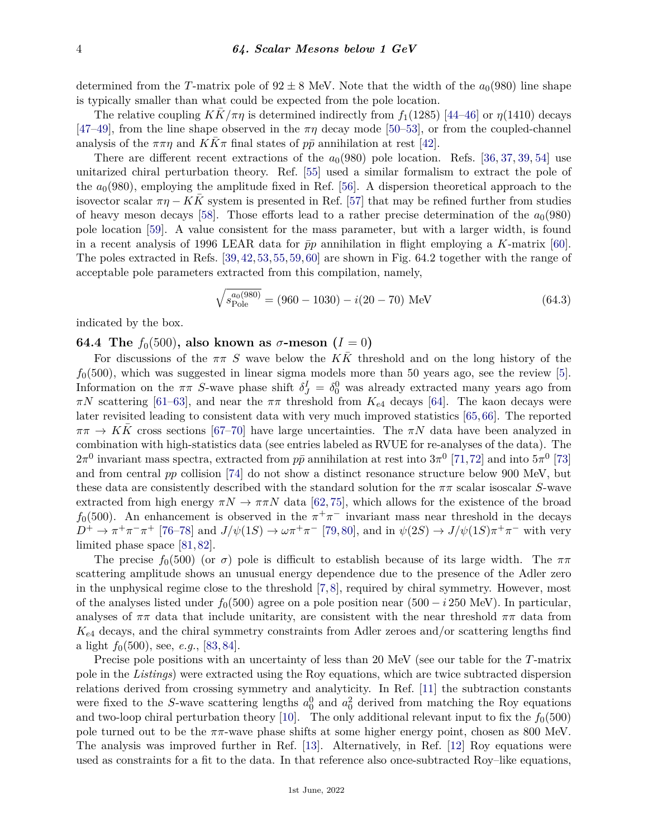determined from the *T*-matrix pole of  $92 \pm 8$  MeV. Note that the width of the  $a_0(980)$  line shape is typically smaller than what could be expected from the pole location.

The relative coupling  $KK/\pi\eta$  is determined indirectly from  $f_1(1285)$  [\[44–](#page-9-14)[46\]](#page-9-15) or  $\eta(1410)$  decays [\[47](#page-9-16)[–49\]](#page-9-17), from the line shape observed in the  $\pi\eta$  decay mode [\[50–](#page-9-18)[53\]](#page-10-0), or from the coupled-channel analysis of the  $\pi\pi\eta$  and  $KK\pi$  final states of  $p\bar{p}$  annihilation at rest [\[42\]](#page-9-12).

There are different recent extractions of the  $a<sub>0</sub>(980)$  pole location. Refs. [\[36,](#page-9-19) [37,](#page-9-20) [39,](#page-9-9) [54\]](#page-10-1) use unitarized chiral perturbation theory. Ref. [\[55\]](#page-10-2) used a similar formalism to extract the pole of the  $a_0(980)$ , employing the amplitude fixed in Ref. [\[56\]](#page-10-3). A dispersion theoretical approach to the isovector scalar  $\pi\eta - KK$  system is presented in Ref. [\[57\]](#page-10-4) that may be refined further from studies of heavy meson decays [\[58\]](#page-10-5). Those efforts lead to a rather precise determination of the  $a_0(980)$ pole location [\[59\]](#page-10-6). A value consistent for the mass parameter, but with a larger width, is found in a recent analysis of 1996 LEAR data for  $\bar{p}p$  annihilation in flight employing a *K*-matrix [\[60\]](#page-10-7). The poles extracted in Refs. [\[39,](#page-9-9)[42,](#page-9-12)[53,](#page-10-0)[55,](#page-10-2)[59,](#page-10-6)[60\]](#page-10-7) are shown in Fig. 64.2 together with the range of acceptable pole parameters extracted from this compilation, namely,

$$
\sqrt{s_{\text{Pole}}^{a_0(980)}} = (960 - 1030) - i(20 - 70) \text{ MeV}
$$
 (64.3)

indicated by the box.

## **64.4 The**  $f_0(500)$ , also known as  $\sigma$ -meson ( $I = 0$ )

For discussions of the  $\pi \pi S$  wave below the *KK* threshold and on the long history of the  $f<sub>0</sub>(500)$ , which was suggested in linear sigma models more than 50 years ago, see the review [\[5\]](#page-8-1). Information on the  $\pi\pi$  *S*-wave phase shift  $\delta^I_J = \delta^0_0$  was already extracted many years ago from  $\pi N$  scattering [\[61](#page-10-8)[–63\]](#page-10-9), and near the  $\pi\pi$  threshold from  $K_{e4}$  decays [\[64\]](#page-10-10). The kaon decays were later revisited leading to consistent data with very much improved statistics [\[65,](#page-10-11)[66\]](#page-10-12). The reported  $\pi \pi \to K K$  cross sections [\[67](#page-10-13)[–70\]](#page-10-14) have large uncertainties. The  $\pi N$  data have been analyzed in combination with high-statistics data (see entries labeled as RVUE for re-analyses of the data). The  $2\pi^0$  invariant mass spectra, extracted from  $p\bar{p}$  annihilation at rest into  $3\pi^0$  [\[71,](#page-10-15)[72\]](#page-10-16) and into  $5\pi^0$  [\[73\]](#page-10-17) and from central *pp* collision [\[74\]](#page-10-18) do not show a distinct resonance structure below 900 MeV, but these data are consistently described with the standard solution for the *ππ* scalar isoscalar *S*-wave extracted from high energy  $\pi N \to \pi \pi N$  data [\[62,](#page-10-19) [75\]](#page-10-20), which allows for the existence of the broad *f*<sub>0</sub>(500). An enhancement is observed in the  $\pi^{+}\pi^{-}$  invariant mass near threshold in the decays  $D^+ \to \pi^+\pi^-\pi^+$  [\[76–](#page-10-21)[78\]](#page-10-22) and  $J/\psi(1S) \to \omega\pi^+\pi^-$  [\[79,](#page-10-23) [80\]](#page-10-24), and in  $\psi(2S) \to J/\psi(1S)\pi^+\pi^-$  with very limited phase space [\[81,](#page-10-25) [82\]](#page-10-26).

The precise  $f_0(500)$  (or  $\sigma$ ) pole is difficult to establish because of its large width. The  $\pi\pi$ scattering amplitude shows an unusual energy dependence due to the presence of the Adler zero in the unphysical regime close to the threshold [\[7,](#page-8-3) [8\]](#page-8-4), required by chiral symmetry. However, most of the analyses listed under  $f_0(500)$  agree on a pole position near  $(500 - i 250 \text{ MeV})$ . In particular, analyses of  $\pi\pi$  data that include unitarity, are consistent with the near threshold  $\pi\pi$  data from *Ke*<sup>4</sup> decays, and the chiral symmetry constraints from Adler zeroes and/or scattering lengths find a light *f*0(500), see, *e.g.*, [\[83,](#page-10-27) [84\]](#page-10-28).

Precise pole positions with an uncertainty of less than 20 MeV (see our table for the *T*-matrix pole in the *Listings*) were extracted using the Roy equations, which are twice subtracted dispersion relations derived from crossing symmetry and analyticity. In Ref. [\[11\]](#page-8-8) the subtraction constants were fixed to the *S*-wave scattering lengths  $a_0^0$  and  $a_0^2$  derived from matching the Roy equations and two-loop chiral perturbation theory [\[10\]](#page-8-6). The only additional relevant input to fix the  $f_0(500)$ pole turned out to be the *ππ*-wave phase shifts at some higher energy point, chosen as 800 MeV. The analysis was improved further in Ref. [\[13\]](#page-8-9). Alternatively, in Ref. [\[12\]](#page-8-10) Roy equations were used as constraints for a fit to the data. In that reference also once-subtracted Roy–like equations,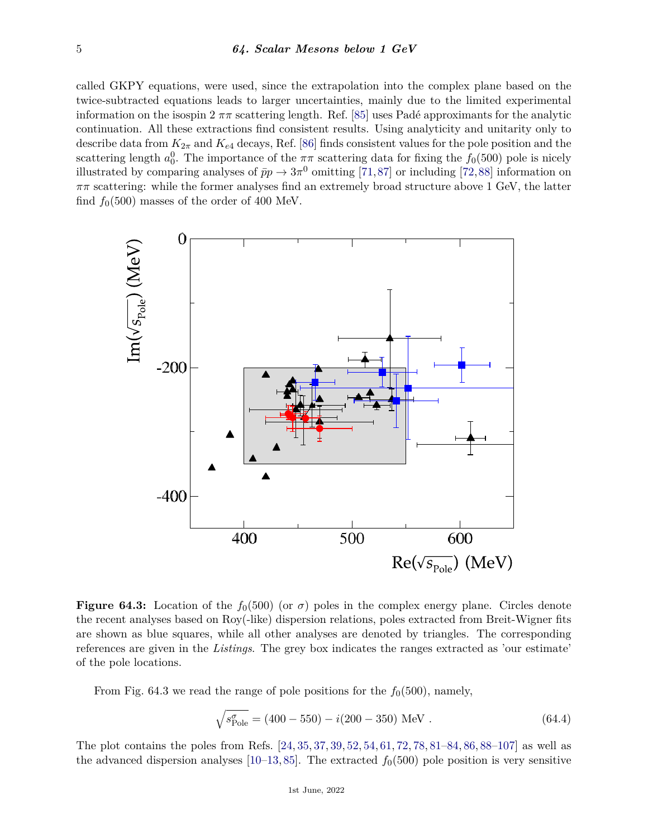called GKPY equations, were used, since the extrapolation into the complex plane based on the twice-subtracted equations leads to larger uncertainties, mainly due to the limited experimental information on the isospin  $2 \pi \pi$  scattering length. Ref. [\[85\]](#page-10-29) uses Padé approximants for the analytic continuation. All these extractions find consistent results. Using analyticity and unitarity only to describe data from  $K_{2\pi}$  and  $K_{e4}$  decays, Ref. [\[86\]](#page-10-30) finds consistent values for the pole position and the scattering length  $a_0^0$ . The importance of the  $\pi\pi$  scattering data for fixing the  $f_0(500)$  pole is nicely illustrated by comparing analyses of  $\bar{p}p \to 3\pi^0$  omitting [\[71,](#page-10-15)[87\]](#page-10-31) or including [\[72,](#page-10-16)[88\]](#page-11-0) information on *ππ* scattering: while the former analyses find an extremely broad structure above 1 GeV, the latter find  $f_0(500)$  masses of the order of 400 MeV.



**Figure 64.3:** Location of the  $f_0(500)$  (or  $\sigma$ ) poles in the complex energy plane. Circles denote the recent analyses based on Roy(-like) dispersion relations, poles extracted from Breit-Wigner fits are shown as blue squares, while all other analyses are denoted by triangles. The corresponding references are given in the *Listings*. The grey box indicates the ranges extracted as 'our estimate' of the pole locations.

From Fig. 64.3 we read the range of pole positions for the  $f_0(500)$ , namely,

$$
\sqrt{s_{\text{Pole}}^{\sigma}} = (400 - 550) - i(200 - 350) \text{ MeV} . \qquad (64.4)
$$

The plot contains the poles from Refs. [\[24,](#page-9-21) [35,](#page-9-22) [37,](#page-9-20) [39,](#page-9-9) [52,](#page-9-23) [54,](#page-10-1) [61,](#page-10-8) [72,](#page-10-16) [78,](#page-10-22) [81–](#page-10-25)[84,](#page-10-28) [86,](#page-10-30) [88–](#page-11-0)[107\]](#page-11-1) as well as the advanced dispersion analyses  $[10-13, 85]$  $[10-13, 85]$  $[10-13, 85]$ . The extracted  $f_0(500)$  pole position is very sensitive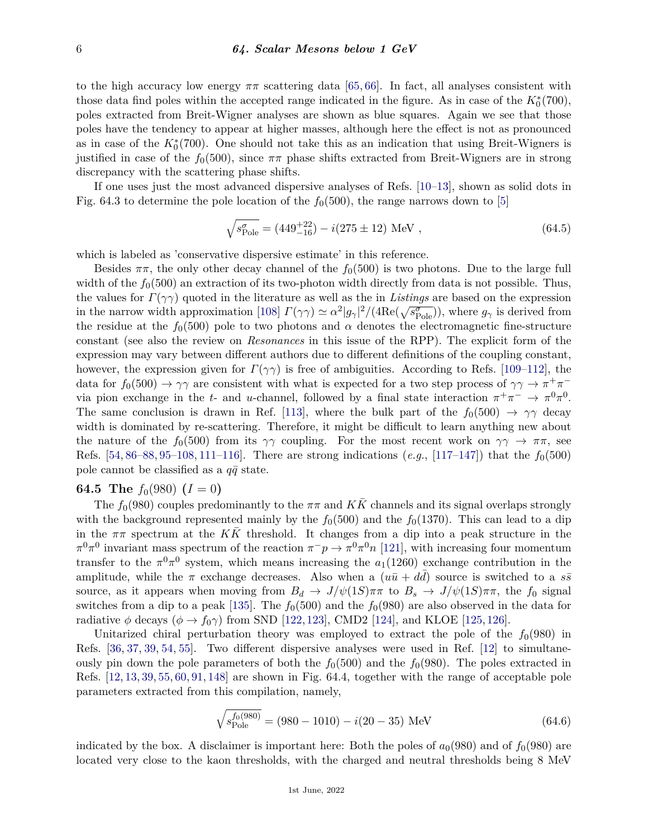to the high accuracy low energy  $\pi\pi$  scattering data [\[65,](#page-10-11) [66\]](#page-10-12). In fact, all analyses consistent with those data find poles within the accepted range indicated in the figure. As in case of the  $K_0^*(700)$ , poles extracted from Breit-Wigner analyses are shown as blue squares. Again we see that those poles have the tendency to appear at higher masses, although here the effect is not as pronounced as in case of the  $K_0^*(700)$ . One should not take this as an indication that using Breit-Wigners is justified in case of the  $f_0(500)$ , since  $\pi\pi$  phase shifts extracted from Breit-Wigners are in strong discrepancy with the scattering phase shifts.

If one uses just the most advanced dispersive analyses of Refs. [\[10–](#page-8-6)[13\]](#page-8-9), shown as solid dots in Fig. 64.3 to determine the pole location of the  $f_0(500)$ , the range narrows down to [\[5\]](#page-8-1)

$$
\sqrt{s_{\text{Pole}}^{\sigma}} = (449_{-16}^{+22}) - i(275 \pm 12) \text{ MeV}, \qquad (64.5)
$$

which is labeled as 'conservative dispersive estimate' in this reference.

Besides  $\pi\pi$ , the only other decay channel of the  $f_0(500)$  is two photons. Due to the large full width of the  $f_0(500)$  an extraction of its two-photon width directly from data is not possible. Thus, the values for *Γ*(*γγ*) quoted in the literature as well as the in *Listings* are based on the expression in the narrow width approximation [\[108\]](#page-11-2)  $\Gamma(\gamma\gamma) \simeq \alpha^2 |g_\gamma|^2/(4\text{Re}(\sqrt{s_{\text{Pole}}^{\sigma}}))$ , where  $g_\gamma$  is derived from the residue at the  $f_0(500)$  pole to two photons and  $\alpha$  denotes the electromagnetic fine-structure constant (see also the review on *Resonances* in this issue of the RPP). The explicit form of the expression may vary between different authors due to different definitions of the coupling constant, however, the expression given for  $\Gamma(\gamma\gamma)$  is free of ambiguities. According to Refs. [\[109–](#page-11-3)[112\]](#page-11-4), the data for  $f_0(500) \to \gamma\gamma$  are consistent with what is expected for a two step process of  $\gamma\gamma \to \pi^+\pi^$ via pion exchange in the *t*- and *u*-channel, followed by a final state interaction  $\pi^+\pi^ \to \pi^0\pi^0$ . The same conclusion is drawn in Ref. [\[113\]](#page-11-5), where the bulk part of the  $f_0(500) \rightarrow \gamma \gamma$  decay width is dominated by re-scattering. Therefore, it might be difficult to learn anything new about the nature of the  $f_0(500)$  from its  $\gamma\gamma$  coupling. For the most recent work on  $\gamma\gamma \to \pi\pi$ , see Refs. [\[54,](#page-10-1) [86–](#page-10-30)[88,](#page-11-0) [95–](#page-11-6)[108,](#page-11-2) [111–](#page-11-7)[116\]](#page-11-8). There are strong indications (*e.g.*, [\[117](#page-11-9)[–147\]](#page-12-0)) that the *f*0(500) pole cannot be classified as a  $q\bar{q}$  state.

#### **64.5** The  $f_0(980)$   $(I = 0)$

The  $f_0(980)$  couples predominantly to the  $\pi\pi$  and  $KK$  channels and its signal overlaps strongly with the background represented mainly by the  $f_0(500)$  and the  $f_0(1370)$ . This can lead to a dip in the  $\pi\pi$  spectrum at the  $K\bar{K}$  threshold. It changes from a dip into a peak structure in the  $\pi^0 \pi^0$  invariant mass spectrum of the reaction  $\pi^- p \to \pi^0 \pi^0 n$  [\[121\]](#page-11-10), with increasing four momentum transfer to the  $\pi^{0}\pi^{0}$  system, which means increasing the  $a_{1}(1260)$  exchange contribution in the amplitude, while the  $\pi$  exchange decreases. Also when a  $(u\bar{u} + d\bar{d})$  source is switched to a  $s\bar{s}$ source, as it appears when moving from  $B_d \to J/\psi(1S)\pi\pi$  to  $B_s \to J/\psi(1S)\pi\pi$ , the  $f_0$  signal switches from a dip to a peak [\[135\]](#page-12-1). The  $f_0(500)$  and the  $f_0(980)$  are also observed in the data for radiative  $\phi$  decays ( $\phi \to f_0 \gamma$ ) from SND [\[122,](#page-11-11) [123\]](#page-11-12), CMD2 [\[124\]](#page-11-13), and KLOE [\[125,](#page-11-14) [126\]](#page-12-2).

Unitarized chiral perturbation theory was employed to extract the pole of the  $f_0(980)$  in Refs. [\[36,](#page-9-19) [37,](#page-9-20) [39,](#page-9-9) [54,](#page-10-1) [55\]](#page-10-2). Two different dispersive analyses were used in Ref. [\[12\]](#page-8-10) to simultaneously pin down the pole parameters of both the  $f_0(500)$  and the  $f_0(980)$ . The poles extracted in Refs. [\[12,](#page-8-10) [13,](#page-8-9) [39,](#page-9-9) [55,](#page-10-2) [60,](#page-10-7) [91,](#page-11-15) [148\]](#page-12-3) are shown in Fig. 64.4, together with the range of acceptable pole parameters extracted from this compilation, namely,

$$
\sqrt{s_{\text{Pole}}^{f_0(980)}} = (980 - 1010) - i(20 - 35) \text{ MeV}
$$
\n(64.6)

indicated by the box. A disclaimer is important here: Both the poles of  $a_0(980)$  and of  $f_0(980)$  are located very close to the kaon thresholds, with the charged and neutral thresholds being 8 MeV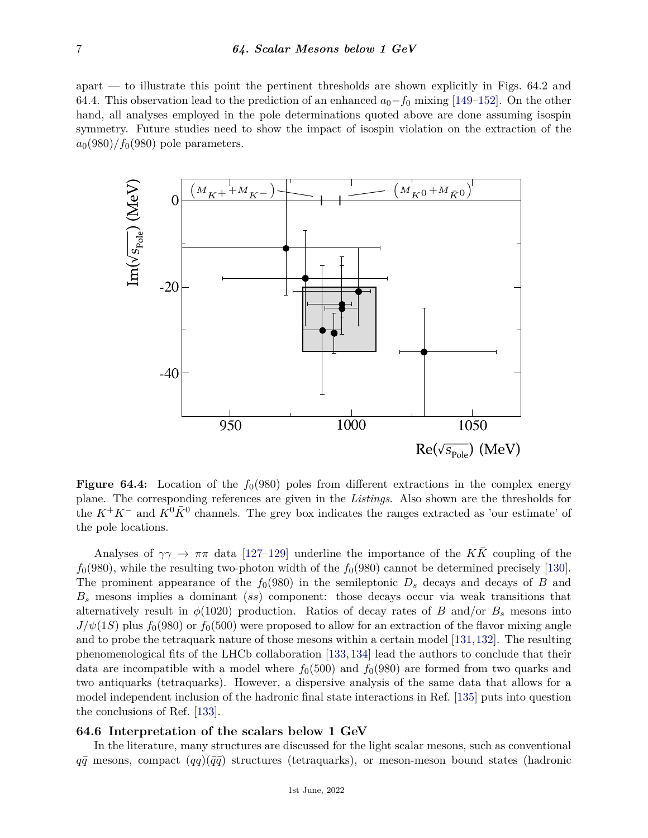apart — to illustrate this point the pertinent thresholds are shown explicitly in Figs. 64.2 and 64.4. This observation lead to the prediction of an enhanced *a*0−*f*<sup>0</sup> mixing [\[149–](#page-12-4)[152\]](#page-12-5). On the other hand, all analyses employed in the pole determinations quoted above are done assuming isospin symmetry. Future studies need to show the impact of isospin violation on the extraction of the  $a_0(980)/f_0(980)$  pole parameters.



**Figure 64.4:** Location of the  $f_0(980)$  poles from different extractions in the complex energy plane. The corresponding references are given in the *Listings*. Also shown are the thresholds for the  $K^+K^-$  and  $K^0\bar{K}^0$  channels. The grey box indicates the ranges extracted as 'our estimate' of the pole locations.

and to probe the tetraquark nature of those mesons within a certain model  $[131, 132]$  $[131, 132]$  $[131, 132]$ . The resulting Analyses of  $\gamma\gamma \to \pi\pi$  data [\[127–](#page-12-6)[129\]](#page-12-7) underline the importance of the  $K\bar{K}$  coupling of the  $f_0(980)$ , while the resulting two-photon width of the  $f_0(980)$  cannot be determined precisely [\[130\]](#page-12-8). The prominent appearance of the  $f_0(980)$  in the semileptonic  $D_s$  decays and decays of *B* and  $B<sub>s</sub>$  mesons implies a dominant ( $\overline{s}s$ ) component: those decays occur via weak transitions that alternatively result in  $\phi(1020)$  production. Ratios of decay rates of *B* and/or  $B_s$  mesons into  $J/\psi(1S)$  plus  $f_0(980)$  or  $f_0(500)$  were proposed to allow for an extraction of the flavor mixing angle phenomenological fits of the LHCb collaboration [\[133,](#page-12-11) [134\]](#page-12-12) lead the authors to conclude that their data are incompatible with a model where  $f_0(500)$  and  $f_0(980)$  are formed from two quarks and two antiquarks (tetraquarks). However, a dispersive analysis of the same data that allows for a model independent inclusion of the hadronic final state interactions in Ref. [\[135\]](#page-12-1) puts into question the conclusions of Ref. [\[133\]](#page-12-11).

## **64.6 Interpretation of the scalars below 1 GeV**

In the literature, many structures are discussed for the light scalar mesons, such as conventional  $q\bar{q}$  mesons, compact  $(qq)(\bar{q}\bar{q})$  structures (tetraquarks), or meson-meson bound states (hadronic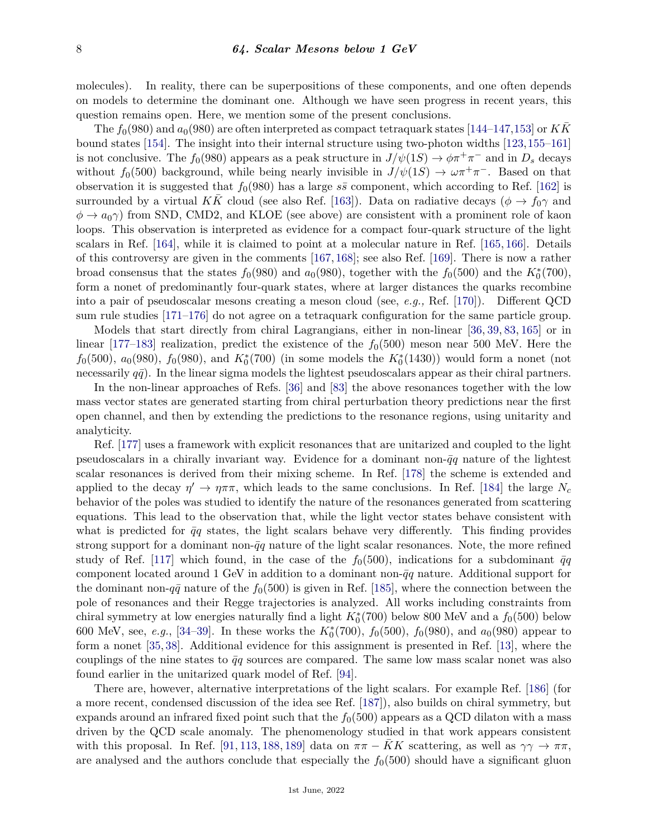molecules). In reality, there can be superpositions of these components, and one often depends on models to determine the dominant one. Although we have seen progress in recent years, this question remains open. Here, we mention some of the present conclusions.

The  $f_0(980)$  and  $a_0(980)$  are often interpreted as compact tetraquark states [\[144–](#page-12-13)[147,](#page-12-0)[153\]](#page-12-14) or *KK* bound states [\[154\]](#page-12-15). The insight into their internal structure using two-photon widths [\[123,](#page-11-12)[155–](#page-12-16)[161\]](#page-12-17) is not conclusive. The  $f_0(980)$  appears as a peak structure in  $J/\psi(1S) \to \phi \pi^+ \pi^-$  and in  $D_s$  decays without  $f_0(500)$  background, while being nearly invisible in  $J/\psi(1S) \to \omega \pi^+ \pi^-$ . Based on that observation it is suggested that  $f_0(980)$  has a large  $s\bar{s}$  component, which according to Ref. [\[162\]](#page-12-18) is surrounded by a virtual *KK* cloud (see also Ref. [\[163\]](#page-12-19)). Data on radiative decays ( $\phi \rightarrow f_0 \gamma$  and  $\phi \rightarrow a_0 \gamma$  from SND, CMD2, and KLOE (see above) are consistent with a prominent role of kaon loops. This observation is interpreted as evidence for a compact four-quark structure of the light scalars in Ref. [\[164\]](#page-13-0), while it is claimed to point at a molecular nature in Ref. [\[165,](#page-13-1) [166\]](#page-13-2). Details of this controversy are given in the comments [\[167,](#page-13-3) [168\]](#page-13-4); see also Ref. [\[169\]](#page-13-5). There is now a rather broad consensus that the states  $f_0(980)$  and  $a_0(980)$ , together with the  $f_0(500)$  and the  $K_0^*(700)$ , form a nonet of predominantly four-quark states, where at larger distances the quarks recombine into a pair of pseudoscalar mesons creating a meson cloud (see, *e.g.,* Ref. [\[170\]](#page-13-6)). Different QCD sum rule studies [\[171–](#page-13-7)[176\]](#page-13-8) do not agree on a tetraquark configuration for the same particle group.

Models that start directly from chiral Lagrangians, either in non-linear [\[36,](#page-9-19) [39,](#page-9-9) [83,](#page-10-27) [165\]](#page-13-1) or in linear [\[177–](#page-13-9)[183\]](#page-13-10) realization, predict the existence of the  $f_0(500)$  meson near 500 MeV. Here the  $f_0(500)$ ,  $a_0(980)$ ,  $f_0(980)$ , and  $K_0^*(700)$  (in some models the  $K_0^*(1430)$ ) would form a nonet (not necessarily  $q\bar{q}$ ). In the linear sigma models the lightest pseudoscalars appear as their chiral partners.

In the non-linear approaches of Refs. [\[36\]](#page-9-19) and [\[83\]](#page-10-27) the above resonances together with the low mass vector states are generated starting from chiral perturbation theory predictions near the first open channel, and then by extending the predictions to the resonance regions, using unitarity and analyticity.

Ref. [\[177\]](#page-13-9) uses a framework with explicit resonances that are unitarized and coupled to the light pseudoscalars in a chirally invariant way. Evidence for a dominant non- $\bar{q}q$  nature of the lightest scalar resonances is derived from their mixing scheme. In Ref. [\[178\]](#page-13-11) the scheme is extended and applied to the decay  $\eta' \to \eta \pi \pi$ , which leads to the same conclusions. In Ref. [\[184\]](#page-13-12) the large  $N_c$ behavior of the poles was studied to identify the nature of the resonances generated from scattering equations. This lead to the observation that, while the light vector states behave consistent with what is predicted for  $\bar{q}q$  states, the light scalars behave very differently. This finding provides strong support for a dominant non- $\bar{q}q$  nature of the light scalar resonances. Note, the more refined study of Ref. [\[117\]](#page-11-9) which found, in the case of the  $f_0(500)$ , indications for a subdominant  $\bar{q}q$ component located around 1 GeV in addition to a dominant non- $\bar{q}q$  nature. Additional support for the dominant non- $q\bar{q}$  nature of the  $f_0(500)$  is given in Ref. [\[185\]](#page-13-13), where the connection between the pole of resonances and their Regge trajectories is analyzed. All works including constraints from chiral symmetry at low energies naturally find a light  $K_0^*(700)$  below 800 MeV and a  $f_0(500)$  below 600 MeV, see, *e.g.*, [\[34](#page-9-8)[–39\]](#page-9-9). In these works the  $K_0^*(700)$ ,  $f_0(500)$ ,  $f_0(980)$ , and  $a_0(980)$  appear to form a nonet [\[35,](#page-9-22) [38\]](#page-9-24). Additional evidence for this assignment is presented in Ref. [\[13\]](#page-8-9), where the couplings of the nine states to  $\bar{q}q$  sources are compared. The same low mass scalar nonet was also found earlier in the unitarized quark model of Ref. [\[94\]](#page-11-16).

There are, however, alternative interpretations of the light scalars. For example Ref. [\[186\]](#page-13-14) (for a more recent, condensed discussion of the idea see Ref. [\[187\]](#page-13-15)), also builds on chiral symmetry, but expands around an infrared fixed point such that the  $f<sub>0</sub>(500)$  appears as a QCD dilaton with a mass driven by the QCD scale anomaly. The phenomenology studied in that work appears consistent with this proposal. In Ref. [\[91,](#page-11-15) [113,](#page-11-5) [188,](#page-13-16) [189\]](#page-13-17) data on  $\pi\pi - KK$  scattering, as well as  $\gamma\gamma \to \pi\pi$ , are analysed and the authors conclude that especially the  $f<sub>0</sub>(500)$  should have a significant gluon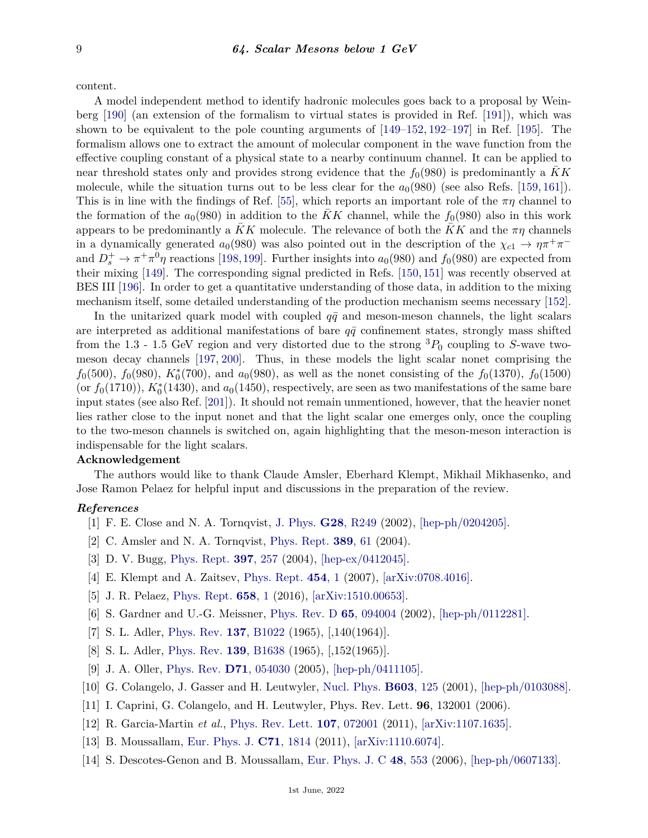content.

A model independent method to identify hadronic molecules goes back to a proposal by Weinberg [\[190\]](#page-13-18) (an extension of the formalism to virtual states is provided in Ref. [\[191\]](#page-13-19)), which was shown to be equivalent to the pole counting arguments of [\[149–](#page-12-4)[152,](#page-12-5) [192–](#page-13-20)[197\]](#page-13-21) in Ref. [\[195\]](#page-13-22). The formalism allows one to extract the amount of molecular component in the wave function from the effective coupling constant of a physical state to a nearby continuum channel. It can be applied to near threshold states only and provides strong evidence that the  $f_0(980)$  is predominantly a KK molecule, while the situation turns out to be less clear for the  $a<sub>0</sub>(980)$  (see also Refs. [\[159,](#page-12-20) [161\]](#page-12-17)). This is in line with the findings of Ref. [\[55\]](#page-10-2), which reports an important role of the *πη* channel to the formation of the  $a_0(980)$  in addition to the KK channel, while the  $f_0(980)$  also in this work appears to be predominantly a *KK* molecule. The relevance of both the *KK* and the  $\pi\eta$  channels in a dynamically generated  $a_0(980)$  was also pointed out in the description of the  $\chi_{c1} \to \eta \pi^+ \pi^$ and  $D_s^+ \to \pi^+ \pi^0 \eta$  reactions [\[198,](#page-13-23)[199\]](#page-13-24). Further insights into  $a_0(980)$  and  $f_0(980)$  are expected from their mixing [\[149\]](#page-12-4). The corresponding signal predicted in Refs. [\[150,](#page-12-21) [151\]](#page-12-22) was recently observed at BES III [\[196\]](#page-13-25). In order to get a quantitative understanding of those data, in addition to the mixing mechanism itself, some detailed understanding of the production mechanism seems necessary [\[152\]](#page-12-5).

In the unitarized quark model with coupled  $q\bar{q}$  and meson-meson channels, the light scalars are interpreted as additional manifestations of bare  $q\bar{q}$  confinement states, strongly mass shifted from the 1.3 - 1.5 GeV region and very distorted due to the strong  ${}^{3}P_{0}$  coupling to *S*-wave twomeson decay channels [\[197,](#page-13-21) [200\]](#page-13-26). Thus, in these models the light scalar nonet comprising the  $f_0(500)$ ,  $f_0(980)$ ,  $K_0^*(700)$ , and  $a_0(980)$ , as well as the nonet consisting of the  $f_0(1370)$ ,  $f_0(1500)$ (or  $f_0(1710)$ ),  $K_0^*(1430)$ , and  $a_0(1450)$ , respectively, are seen as two manifestations of the same bare input states (see also Ref. [\[201\]](#page-13-27)). It should not remain unmentioned, however, that the heavier nonet lies rather close to the input nonet and that the light scalar one emerges only, once the coupling to the two-meson channels is switched on, again highlighting that the meson-meson interaction is indispensable for the light scalars.

## **Acknowledgement**

The authors would like to thank Claude Amsler, Eberhard Klempt, Mikhail Mikhasenko, and Jose Ramon Pelaez for helpful input and discussions in the preparation of the review.

#### <span id="page-8-0"></span>*References*

- [1] F. E. Close and N. A. Tornqvist, [J. Phys.](http://doi.org/10.1088/0954-3899/28/10/201) **G28**[, R249](http://doi.org/10.1088/0954-3899/28/10/201) (2002), [\[hep-ph/0204205\].](https://arxiv.org/abs/hep-ph/0204205)
- [2] C. Amsler and N. A. Tornqvist, [Phys. Rept.](http://doi.org/10.1016/j.physrep.2003.09.003) **[389](http://doi.org/10.1016/j.physrep.2003.09.003)**, 61 (2004).
- [3] D. V. Bugg, [Phys. Rept.](http://doi.org/10.1016/j.physrep.2004.03.008) **397**[, 257](http://doi.org/10.1016/j.physrep.2004.03.008) (2004), [\[hep-ex/0412045\].](https://arxiv.org/abs/hep-ex/0412045)
- [4] E. Klempt and A. Zaitsev, [Phys. Rept.](http://doi.org/10.1016/j.physrep.2007.07.006) **[454](http://doi.org/10.1016/j.physrep.2007.07.006)**, 1 (2007), [\[arXiv:0708.4016\].](https://arxiv.org/abs/0708.4016)
- <span id="page-8-2"></span><span id="page-8-1"></span>[5] J. R. Pelaez, [Phys. Rept.](http://doi.org/10.1016/j.physrep.2016.09.001) **[658](http://doi.org/10.1016/j.physrep.2016.09.001)**, 1 (2016), [\[arXiv:1510.00653\].](https://arxiv.org/abs/1510.00653)
- <span id="page-8-3"></span>[6] S. Gardner and U.-G. Meissner, [Phys. Rev. D](http://doi.org/10.1103/PhysRevD.65.094004) **65**[, 094004](http://doi.org/10.1103/PhysRevD.65.094004) (2002), [\[hep-ph/0112281\].](https://arxiv.org/abs/hep-ph/0112281)
- [7] S. L. Adler, [Phys. Rev.](http://doi.org/10.1103/PhysRev.137.B1022) **137**[, B1022](http://doi.org/10.1103/PhysRev.137.B1022) (1965), [,140(1964)].
- <span id="page-8-4"></span>[8] S. L. Adler, [Phys. Rev.](http://doi.org/10.1103/PhysRev.139.B1638) **139**[, B1638](http://doi.org/10.1103/PhysRev.139.B1638) (1965), [,152(1965)].
- <span id="page-8-5"></span>[9] J. A. Oller, [Phys. Rev.](http://doi.org/10.1103/PhysRevD.71.054030) **D71**[, 054030](http://doi.org/10.1103/PhysRevD.71.054030) (2005), [\[hep-ph/0411105\].](https://arxiv.org/abs/hep-ph/0411105)
- <span id="page-8-8"></span><span id="page-8-6"></span>[10] G. Colangelo, J. Gasser and H. Leutwyler, [Nucl. Phys.](http://doi.org/10.1016/S0550-3213(01)00147-X) **[B603](http://doi.org/10.1016/S0550-3213(01)00147-X)**, 125 (2001), [\[hep-ph/0103088\].](https://arxiv.org/abs/hep-ph/0103088)
- [11] I. Caprini, G. Colangelo, and H. Leutwyler, Phys. Rev. Lett. **96**, 132001 (2006).
- <span id="page-8-10"></span>[12] R. Garcia-Martin *et al.*, [Phys. Rev. Lett.](http://doi.org/10.1103/PhysRevLett.107.072001) **107**[, 072001](http://doi.org/10.1103/PhysRevLett.107.072001) (2011), [\[arXiv:1107.1635\].](https://arxiv.org/abs/1107.1635)
- <span id="page-8-9"></span><span id="page-8-7"></span>[13] B. Moussallam, [Eur. Phys. J.](http://doi.org/10.1140/epjc/s10052-011-1814-z) **C71**[, 1814](http://doi.org/10.1140/epjc/s10052-011-1814-z) (2011), [\[arXiv:1110.6074\].](https://arxiv.org/abs/1110.6074)
- [14] S. Descotes-Genon and B. Moussallam, [Eur. Phys. J. C](http://doi.org/10.1140/epjc/s10052-006-0036-2) **48**[, 553](http://doi.org/10.1140/epjc/s10052-006-0036-2) (2006), [\[hep-ph/0607133\].](https://arxiv.org/abs/hep-ph/0607133)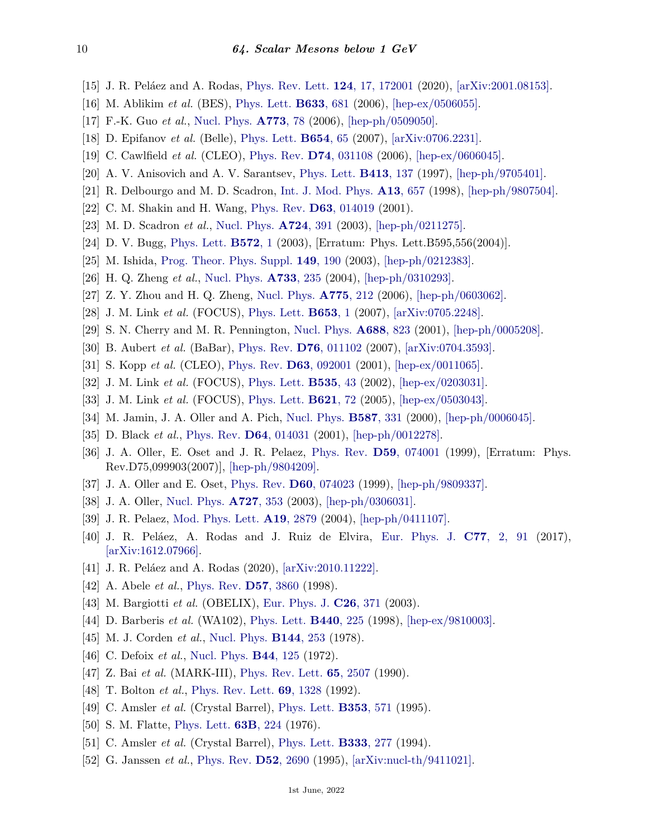- <span id="page-9-0"></span>[15] J. R. Peláez and A. Rodas, [Phys. Rev. Lett.](http://doi.org/10.1103/PhysRevLett.124.172001) **124**[, 17, 172001](http://doi.org/10.1103/PhysRevLett.124.172001) (2020), [\[arXiv:2001.08153\].](https://arxiv.org/abs/2001.08153)
- <span id="page-9-1"></span>[16] M. Ablikim *et al.* (BES), [Phys. Lett.](http://doi.org/10.1016/j.physletb.2005.12.062) **[B633](http://doi.org/10.1016/j.physletb.2005.12.062)**, 681 (2006), [\[hep-ex/0506055\].](https://arxiv.org/abs/hep-ex/0506055)
- <span id="page-9-2"></span>[17] F.-K. Guo *et al.*, [Nucl. Phys.](http://doi.org/10.1016/j.nuclphysa.2006.04.008) **[A773](http://doi.org/10.1016/j.nuclphysa.2006.04.008)**, 78 (2006), [\[hep-ph/0509050\].](https://arxiv.org/abs/hep-ph/0509050)
- <span id="page-9-3"></span>[18] D. Epifanov *et al.* (Belle), [Phys. Lett.](http://doi.org/10.1016/j.physletb.2007.08.045) **[B654](http://doi.org/10.1016/j.physletb.2007.08.045)**, 65 (2007), [\[arXiv:0706.2231\].](https://arxiv.org/abs/0706.2231)
- <span id="page-9-4"></span>[19] C. Cawlfield *et al.* (CLEO), [Phys. Rev.](http://doi.org/10.1103/PhysRevD.74.031108) **D74**[, 031108](http://doi.org/10.1103/PhysRevD.74.031108) (2006), [\[hep-ex/0606045\].](https://arxiv.org/abs/hep-ex/0606045)
- [20] A. V. Anisovich and A. V. Sarantsev, [Phys. Lett.](http://doi.org/10.1016/S0370-2693(97)01089-7) **[B413](http://doi.org/10.1016/S0370-2693(97)01089-7)**, 137 (1997), [\[hep-ph/9705401\].](https://arxiv.org/abs/hep-ph/9705401)
- [21] R. Delbourgo and M. D. Scadron, [Int. J. Mod. Phys.](http://doi.org/10.1142/S0217751X98000299) **A13**[, 657](http://doi.org/10.1142/S0217751X98000299) (1998), [\[hep-ph/9807504\].](https://arxiv.org/abs/hep-ph/9807504)
- [22] C. M. Shakin and H. Wang, [Phys. Rev.](http://doi.org/10.1103/PhysRevD.63.014019) **D63**[, 014019](http://doi.org/10.1103/PhysRevD.63.014019) (2001).
- [23] M. D. Scadron *et al.*, [Nucl. Phys.](http://doi.org/10.1016/S0375-9474(03)01553-7) **[A724](http://doi.org/10.1016/S0375-9474(03)01553-7)**, 391 (2003), [\[hep-ph/0211275\].](https://arxiv.org/abs/hep-ph/0211275)
- <span id="page-9-21"></span>[24] D. V. Bugg, [Phys. Lett.](http://doi.org/10.1016/j.physletb.2004.06.050) **[B572](http://doi.org/10.1016/j.physletb.2004.06.050)**, 1 (2003), [Erratum: Phys. Lett.B595,556(2004)].
- [25] M. Ishida, [Prog. Theor. Phys. Suppl.](http://doi.org/10.1143/PTPS.149.190) **149**[, 190](http://doi.org/10.1143/PTPS.149.190) (2003), [\[hep-ph/0212383\].](https://arxiv.org/abs/hep-ph/0212383)
- [26] H. Q. Zheng *et al.*, [Nucl. Phys.](http://doi.org/10.1016/j.nuclphysa.2003.12.021) **[A733](http://doi.org/10.1016/j.nuclphysa.2003.12.021)**, 235 (2004), [\[hep-ph/0310293\].](https://arxiv.org/abs/hep-ph/0310293)
- [27] Z. Y. Zhou and H. Q. Zheng, [Nucl. Phys.](http://doi.org/10.1016/j.nuclphysa.2006.06.170) **[A775](http://doi.org/10.1016/j.nuclphysa.2006.06.170)**, 212 (2006), [\[hep-ph/0603062\].](https://arxiv.org/abs/hep-ph/0603062)
- <span id="page-9-5"></span>[28] J. M. Link *et al.* (FOCUS), [Phys. Lett.](http://doi.org/10.1016/j.physletb.2007.06.070) **[B653](http://doi.org/10.1016/j.physletb.2007.06.070)**, 1 (2007), [\[arXiv:0705.2248\].](https://arxiv.org/abs/0705.2248)
- <span id="page-9-6"></span>[29] S. N. Cherry and M. R. Pennington, [Nucl. Phys.](http://doi.org/10.1016/S0375-9474(00)00587-X) **[A688](http://doi.org/10.1016/S0375-9474(00)00587-X)**, 823 (2001), [\[hep-ph/0005208\].](https://arxiv.org/abs/hep-ph/0005208)
- [30] B. Aubert *et al.* (BaBar), [Phys. Rev.](http://doi.org/10.1103/PhysRevD.76.011102) **D76**[, 011102](http://doi.org/10.1103/PhysRevD.76.011102) (2007), [\[arXiv:0704.3593\].](https://arxiv.org/abs/0704.3593)
- [31] S. Kopp *et al.* (CLEO), [Phys. Rev.](http://doi.org/10.1103/PhysRevD.63.092001) **D63**[, 092001](http://doi.org/10.1103/PhysRevD.63.092001) (2001), [\[hep-ex/0011065\].](https://arxiv.org/abs/hep-ex/0011065)
- [32] J. M. Link *et al.* (FOCUS), [Phys. Lett.](http://doi.org/10.1016/S0370-2693(02)01715-X) **[B535](http://doi.org/10.1016/S0370-2693(02)01715-X)**, 43 (2002), [\[hep-ex/0203031\].](https://arxiv.org/abs/hep-ex/0203031)
- <span id="page-9-7"></span>[33] J. M. Link *et al.* (FOCUS), [Phys. Lett.](http://doi.org/10.1016/j.physletb.2005.06.062) **[B621](http://doi.org/10.1016/j.physletb.2005.06.062)**, 72 (2005), [\[hep-ex/0503043\].](https://arxiv.org/abs/hep-ex/0503043)
- <span id="page-9-8"></span>[34] M. Jamin, J. A. Oller and A. Pich, [Nucl. Phys.](http://doi.org/10.1016/S0550-3213(00)00479-X) **[B587](http://doi.org/10.1016/S0550-3213(00)00479-X)**, 331 (2000), [\[hep-ph/0006045\].](https://arxiv.org/abs/hep-ph/0006045)
- <span id="page-9-22"></span>[35] D. Black *et al.*, [Phys. Rev.](http://doi.org/10.1103/PhysRevD.64.014031) **D64**[, 014031](http://doi.org/10.1103/PhysRevD.64.014031) (2001), [\[hep-ph/0012278\].](https://arxiv.org/abs/hep-ph/0012278)
- <span id="page-9-19"></span>[36] J. A. Oller, E. Oset and J. R. Pelaez, [Phys. Rev.](http://doi.org/10.1103/PhysRevD.59.074001) **D59**[, 074001](http://doi.org/10.1103/PhysRevD.59.074001) (1999), [Erratum: Phys. Rev.D75,099903(2007)], [\[hep-ph/9804209\].](https://arxiv.org/abs/hep-ph/9804209)
- <span id="page-9-20"></span>[37] J. A. Oller and E. Oset, [Phys. Rev.](http://doi.org/10.1103/PhysRevD.60.074023) **D60**[, 074023](http://doi.org/10.1103/PhysRevD.60.074023) (1999), [\[hep-ph/9809337\].](https://arxiv.org/abs/hep-ph/9809337)
- <span id="page-9-24"></span>[38] J. A. Oller, [Nucl. Phys.](http://doi.org/10.1016/j.nuclphysa.2003.08.002) **[A727](http://doi.org/10.1016/j.nuclphysa.2003.08.002)**, 353 (2003), [\[hep-ph/0306031\].](https://arxiv.org/abs/hep-ph/0306031)
- <span id="page-9-9"></span>[39] J. R. Pelaez, [Mod. Phys. Lett.](http://doi.org/10.1142/S0217732304016160) **A19**[, 2879](http://doi.org/10.1142/S0217732304016160) (2004), [\[hep-ph/0411107\].](https://arxiv.org/abs/hep-ph/0411107)
- <span id="page-9-10"></span>[40] J. R. Peláez, A. Rodas and J. Ruiz de Elvira, [Eur. Phys. J.](http://doi.org/10.1140/epjc/s10052-017-4668-1) **C77**[, 2, 91](http://doi.org/10.1140/epjc/s10052-017-4668-1) (2017), [\[arXiv:1612.07966\].](https://arxiv.org/abs/1612.07966)
- <span id="page-9-11"></span>[41] J. R. Peláez and A. Rodas (2020), [\[arXiv:2010.11222\].](https://arxiv.org/abs/2010.11222)
- <span id="page-9-13"></span><span id="page-9-12"></span>[42] A. Abele *et al.*, [Phys. Rev.](http://doi.org/10.1103/PhysRevD.57.3860) **D57**[, 3860](http://doi.org/10.1103/PhysRevD.57.3860) (1998).
- [43] M. Bargiotti *et al.* (OBELIX), [Eur. Phys. J.](http://doi.org/10.1140/epjc/s2002-01080-7) **C26**[, 371](http://doi.org/10.1140/epjc/s2002-01080-7) (2003).
- <span id="page-9-14"></span>[44] D. Barberis *et al.* (WA102), [Phys. Lett.](http://doi.org/10.1016/S0370-2693(98)01264-7) **[B440](http://doi.org/10.1016/S0370-2693(98)01264-7)**, 225 (1998), [\[hep-ex/9810003\].](https://arxiv.org/abs/hep-ex/9810003)
- [45] M. J. Corden *et al.*, [Nucl. Phys.](http://doi.org/10.1016/0550-3213(78)90369-3) **[B144](http://doi.org/10.1016/0550-3213(78)90369-3)**, 253 (1978).
- <span id="page-9-16"></span><span id="page-9-15"></span>[46] C. Defoix *et al.*, [Nucl. Phys.](http://doi.org/10.1016/0550-3213(72)90274-X) **B44**[, 125](http://doi.org/10.1016/0550-3213(72)90274-X) (1972).
- [47] Z. Bai *et al.* (MARK-III), [Phys. Rev. Lett.](http://doi.org/10.1103/PhysRevLett.65.2507) **65**[, 2507](http://doi.org/10.1103/PhysRevLett.65.2507) (1990).
- <span id="page-9-17"></span>[48] T. Bolton *et al.*, [Phys. Rev. Lett.](http://doi.org/10.1103/PhysRevLett.69.1328) **69**[, 1328](http://doi.org/10.1103/PhysRevLett.69.1328) (1992).
- [49] C. Amsler *et al.* (Crystal Barrel), [Phys. Lett.](http://doi.org/10.1016/0370-2693(95)00610-W) **[B353](http://doi.org/10.1016/0370-2693(95)00610-W)**, 571 (1995).
- <span id="page-9-18"></span>[50] S. M. Flatte, [Phys. Lett.](http://doi.org/10.1016/0370-2693(76)90654-7) **63B**[, 224](http://doi.org/10.1016/0370-2693(76)90654-7) (1976).
- [51] C. Amsler *et al.* (Crystal Barrel), [Phys. Lett.](http://doi.org/10.1016/0370-2693(94)91044-8) **[B333](http://doi.org/10.1016/0370-2693(94)91044-8)**, 277 (1994).
- <span id="page-9-23"></span>[52] G. Janssen *et al.*, [Phys. Rev.](http://doi.org/10.1103/PhysRevD.52.2690) **D52**[, 2690](http://doi.org/10.1103/PhysRevD.52.2690) (1995), [\[arXiv:nucl-th/9411021\].](https://arxiv.org/abs/nucl-th/9411021)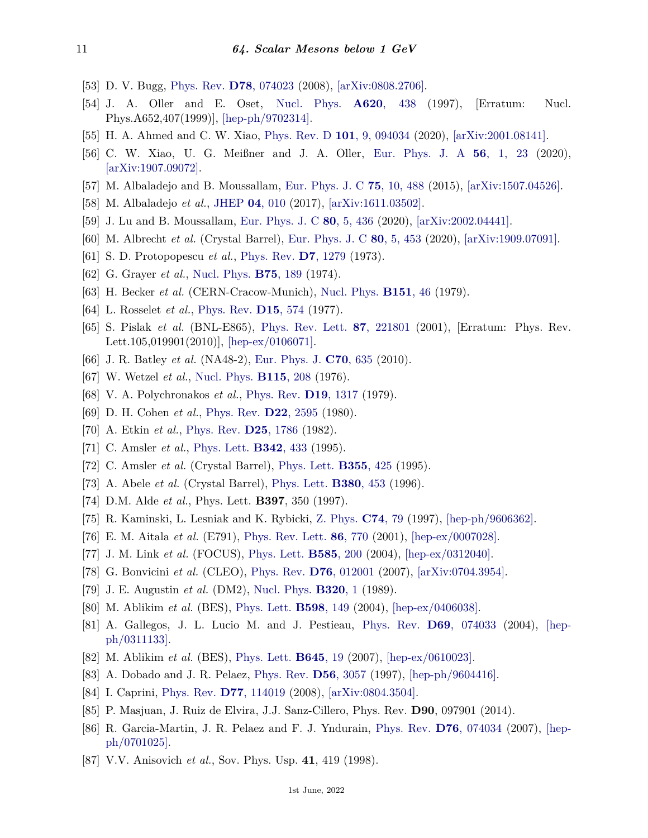- <span id="page-10-0"></span>[53] D. V. Bugg, [Phys. Rev.](http://doi.org/10.1103/PhysRevD.78.074023) **D78**[, 074023](http://doi.org/10.1103/PhysRevD.78.074023) (2008), [\[arXiv:0808.2706\].](https://arxiv.org/abs/0808.2706)
- <span id="page-10-1"></span>[54] J. A. Oller and E. Oset, [Nucl. Phys.](http://doi.org/10.1016/S0375-9474(99)00427-3) **A620**[, 438](http://doi.org/10.1016/S0375-9474(99)00427-3) (1997), [Erratum: Nucl. Phys.A652,407(1999)], [\[hep-ph/9702314\].](https://arxiv.org/abs/hep-ph/9702314)
- <span id="page-10-2"></span>[55] H. A. Ahmed and C. W. Xiao, [Phys. Rev. D](http://doi.org/10.1103/PhysRevD.101.094034) **101**[, 9, 094034](http://doi.org/10.1103/PhysRevD.101.094034) (2020), [\[arXiv:2001.08141\].](https://arxiv.org/abs/2001.08141)
- <span id="page-10-3"></span>[56] C. W. Xiao, U. G. Meißner and J. A. Oller, [Eur. Phys. J. A](http://doi.org/10.1140/epja/s10050-020-00025-y) **56**[, 1, 23](http://doi.org/10.1140/epja/s10050-020-00025-y) (2020), [\[arXiv:1907.09072\].](https://arxiv.org/abs/1907.09072)
- <span id="page-10-4"></span>[57] M. Albaladejo and B. Moussallam, [Eur. Phys. J. C](http://doi.org/10.1140/epjc/s10052-015-3715-z) **75**[, 10, 488](http://doi.org/10.1140/epjc/s10052-015-3715-z) (2015), [\[arXiv:1507.04526\].](https://arxiv.org/abs/1507.04526)
- <span id="page-10-5"></span>[58] M. Albaladejo *et al.*, [JHEP](http://doi.org/10.1007/JHEP04(2017)010) **04**[, 010](http://doi.org/10.1007/JHEP04(2017)010) (2017), [\[arXiv:1611.03502\].](https://arxiv.org/abs/1611.03502)
- <span id="page-10-6"></span>[59] J. Lu and B. Moussallam, [Eur. Phys. J. C](http://doi.org/10.1140/epjc/s10052-020-7969-8) **80**[, 5, 436](http://doi.org/10.1140/epjc/s10052-020-7969-8) (2020), [\[arXiv:2002.04441\].](https://arxiv.org/abs/2002.04441)
- <span id="page-10-7"></span>[60] M. Albrecht *et al.* (Crystal Barrel), [Eur. Phys. J. C](http://doi.org/10.1140/epjc/s10052-020-7930-x) **80**[, 5, 453](http://doi.org/10.1140/epjc/s10052-020-7930-x) (2020), [\[arXiv:1909.07091\].](https://arxiv.org/abs/1909.07091)
- <span id="page-10-8"></span>[61] S. D. Protopopescu *et al.*, [Phys. Rev.](http://doi.org/10.1103/PhysRevD.7.1279) **D7**[, 1279](http://doi.org/10.1103/PhysRevD.7.1279) (1973).
- <span id="page-10-19"></span>[62] G. Grayer *et al.*, [Nucl. Phys.](http://doi.org/10.1016/0550-3213(74)90545-8) **B75**[, 189](http://doi.org/10.1016/0550-3213(74)90545-8) (1974).
- <span id="page-10-9"></span>[63] H. Becker *et al.* (CERN-Cracow-Munich), [Nucl. Phys.](http://doi.org/10.1016/0550-3213(79)90426-7) **[B151](http://doi.org/10.1016/0550-3213(79)90426-7)**, 46 (1979).
- <span id="page-10-10"></span>[64] L. Rosselet *et al.*, [Phys. Rev.](http://doi.org/10.1103/PhysRevD.15.574) **D15**[, 574](http://doi.org/10.1103/PhysRevD.15.574) (1977).
- <span id="page-10-11"></span>[65] S. Pislak *et al.* (BNL-E865), [Phys. Rev. Lett.](http://doi.org/10.1103/PhysRevLett.105.019901) **87**[, 221801](http://doi.org/10.1103/PhysRevLett.105.019901) (2001), [Erratum: Phys. Rev. Lett.105,019901(2010)], [\[hep-ex/0106071\].](https://arxiv.org/abs/hep-ex/0106071)
- <span id="page-10-12"></span>[66] J. R. Batley *et al.* (NA48-2), [Eur. Phys. J.](http://doi.org/10.1140/epjc/s10052-010-1480-6) **C70**[, 635](http://doi.org/10.1140/epjc/s10052-010-1480-6) (2010).
- <span id="page-10-13"></span>[67] W. Wetzel *et al.*, [Nucl. Phys.](http://doi.org/10.1016/0550-3213(76)90254-6) **[B115](http://doi.org/10.1016/0550-3213(76)90254-6)**, 208 (1976).
- [68] V. A. Polychronakos *et al.*, [Phys. Rev.](http://doi.org/10.1103/PhysRevD.19.1317) **D19**[, 1317](http://doi.org/10.1103/PhysRevD.19.1317) (1979).
- [69] D. H. Cohen *et al.*, [Phys. Rev.](http://doi.org/10.1103/PhysRevD.22.2595) **D22**[, 2595](http://doi.org/10.1103/PhysRevD.22.2595) (1980).
- <span id="page-10-14"></span>[70] A. Etkin *et al.*, [Phys. Rev.](http://doi.org/10.1103/PhysRevD.25.1786) **D25**[, 1786](http://doi.org/10.1103/PhysRevD.25.1786) (1982).
- <span id="page-10-15"></span>[71] C. Amsler *et al.*, [Phys. Lett.](http://doi.org/10.1016/0370-2693(94)01515-E) **[B342](http://doi.org/10.1016/0370-2693(94)01515-E)**, 433 (1995).
- <span id="page-10-16"></span>[72] C. Amsler *et al.* (Crystal Barrel), [Phys. Lett.](http://doi.org/10.1016/0370-2693(95)00747-9) **[B355](http://doi.org/10.1016/0370-2693(95)00747-9)**, 425 (1995).
- <span id="page-10-17"></span>[73] A. Abele *et al.* (Crystal Barrel), [Phys. Lett.](http://doi.org/10.1016/0370-2693(96)00574-6) **[B380](http://doi.org/10.1016/0370-2693(96)00574-6)**, 453 (1996).
- <span id="page-10-18"></span>[74] D.M. Alde *et al.*, Phys. Lett. **B397**, 350 (1997).
- <span id="page-10-20"></span>[75] R. Kaminski, L. Lesniak and K. Rybicki, [Z. Phys.](http://doi.org/10.1007/s002880050372) **[C74](http://doi.org/10.1007/s002880050372)**, 79 (1997), [\[hep-ph/9606362\].](https://arxiv.org/abs/hep-ph/9606362)
- <span id="page-10-21"></span>[76] E. M. Aitala *et al.* (E791), [Phys. Rev. Lett.](http://doi.org/10.1103/PhysRevLett.86.770) **86**[, 770](http://doi.org/10.1103/PhysRevLett.86.770) (2001), [\[hep-ex/0007028\].](https://arxiv.org/abs/hep-ex/0007028)
- [77] J. M. Link *et al.* (FOCUS), [Phys. Lett.](http://doi.org/10.1016/j.physletb.2004.01.065) **[B585](http://doi.org/10.1016/j.physletb.2004.01.065)**, 200 (2004), [\[hep-ex/0312040\].](https://arxiv.org/abs/hep-ex/0312040)
- <span id="page-10-22"></span>[78] G. Bonvicini *et al.* (CLEO), [Phys. Rev.](http://doi.org/10.1103/PhysRevD.76.012001) **D76**[, 012001](http://doi.org/10.1103/PhysRevD.76.012001) (2007), [\[arXiv:0704.3954\].](https://arxiv.org/abs/0704.3954)
- <span id="page-10-23"></span>[79] J. E. Augustin *et al.* (DM2), [Nucl. Phys.](http://doi.org/10.1016/0550-3213(89)90208-3) **[B320](http://doi.org/10.1016/0550-3213(89)90208-3)**, 1 (1989).
- <span id="page-10-24"></span>[80] M. Ablikim *et al.* (BES), [Phys. Lett.](http://doi.org/10.1016/j.physletb.2004.07.052) **[B598](http://doi.org/10.1016/j.physletb.2004.07.052)**, 149 (2004), [\[hep-ex/0406038\].](https://arxiv.org/abs/hep-ex/0406038)
- <span id="page-10-25"></span>[81] A. Gallegos, J. L. Lucio M. and J. Pestieau, [Phys. Rev.](http://doi.org/10.1103/PhysRevD.69.074033) **D69**[, 074033](http://doi.org/10.1103/PhysRevD.69.074033) (2004), [\[hep](https://arxiv.org/abs/hep-ph/0311133)[ph/0311133\].](https://arxiv.org/abs/hep-ph/0311133)
- <span id="page-10-26"></span>[82] M. Ablikim *et al.* (BES), [Phys. Lett.](http://doi.org/10.1016/j.physletb.2006.11.056) **[B645](http://doi.org/10.1016/j.physletb.2006.11.056)**, 19 (2007), [\[hep-ex/0610023\].](https://arxiv.org/abs/hep-ex/0610023)
- <span id="page-10-27"></span>[83] A. Dobado and J. R. Pelaez, [Phys. Rev.](http://doi.org/10.1103/PhysRevD.56.3057) **D56**[, 3057](http://doi.org/10.1103/PhysRevD.56.3057) (1997), [\[hep-ph/9604416\].](https://arxiv.org/abs/hep-ph/9604416)
- <span id="page-10-28"></span>[84] I. Caprini, [Phys. Rev.](http://doi.org/10.1103/PhysRevD.77.114019) **D77**[, 114019](http://doi.org/10.1103/PhysRevD.77.114019) (2008), [\[arXiv:0804.3504\].](https://arxiv.org/abs/0804.3504)
- <span id="page-10-29"></span>[85] P. Masjuan, J. Ruiz de Elvira, J.J. Sanz-Cillero, Phys. Rev. **D90**, 097901 (2014).
- <span id="page-10-30"></span>[86] R. Garcia-Martin, J. R. Pelaez and F. J. Yndurain, [Phys. Rev.](http://doi.org/10.1103/PhysRevD.76.074034) **D76**[, 074034](http://doi.org/10.1103/PhysRevD.76.074034) (2007), [\[hep](https://arxiv.org/abs/hep-ph/0701025)[ph/0701025\].](https://arxiv.org/abs/hep-ph/0701025)
- <span id="page-10-31"></span>[87] V.V. Anisovich *et al.*, Sov. Phys. Usp. **41**, 419 (1998).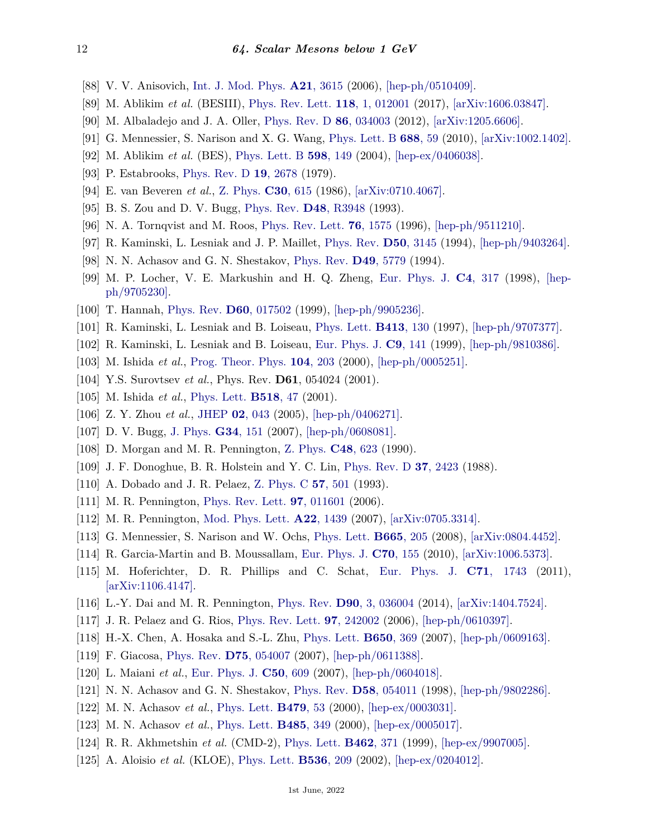- <span id="page-11-0"></span>[88] V. V. Anisovich, [Int. J. Mod. Phys.](http://doi.org/10.1142/S0217751X06031569) **A21**[, 3615](http://doi.org/10.1142/S0217751X06031569) (2006), [\[hep-ph/0510409\].](https://arxiv.org/abs/hep-ph/0510409)
- [89] M. Ablikim *et al.* (BESIII), [Phys. Rev. Lett.](http://doi.org/10.1103/PhysRevLett.118.012001) **118**[, 1, 012001](http://doi.org/10.1103/PhysRevLett.118.012001) (2017), [\[arXiv:1606.03847\].](https://arxiv.org/abs/1606.03847)
- [90] M. Albaladejo and J. A. Oller, [Phys. Rev. D](http://doi.org/10.1103/PhysRevD.86.034003) **86**[, 034003](http://doi.org/10.1103/PhysRevD.86.034003) (2012), [\[arXiv:1205.6606\].](https://arxiv.org/abs/1205.6606)
- <span id="page-11-15"></span>[91] G. Mennessier, S. Narison and X. G. Wang, [Phys. Lett. B](http://doi.org/10.1016/j.physletb.2010.03.031) **[688](http://doi.org/10.1016/j.physletb.2010.03.031)**, 59 (2010), [\[arXiv:1002.1402\].](https://arxiv.org/abs/1002.1402)
- [92] M. Ablikim *et al.* (BES), [Phys. Lett. B](http://doi.org/10.1016/j.physletb.2004.07.052) **598**[, 149](http://doi.org/10.1016/j.physletb.2004.07.052) (2004), [\[hep-ex/0406038\].](https://arxiv.org/abs/hep-ex/0406038)
- [93] P. Estabrooks, [Phys. Rev. D](http://doi.org/10.1103/PhysRevD.19.2678) **19**[, 2678](http://doi.org/10.1103/PhysRevD.19.2678) (1979).
- <span id="page-11-16"></span>[94] E. van Beveren *et al.*, [Z. Phys.](http://doi.org/10.1007/BF01571811) **C30**[, 615](http://doi.org/10.1007/BF01571811) (1986), [\[arXiv:0710.4067\].](https://arxiv.org/abs/0710.4067)
- <span id="page-11-6"></span>[95] B. S. Zou and D. V. Bugg, [Phys. Rev.](http://doi.org/10.1103/PhysRevD.48.R3948) **D48**[, R3948](http://doi.org/10.1103/PhysRevD.48.R3948) (1993).
- [96] N. A. Tornqvist and M. Roos, [Phys. Rev. Lett.](http://doi.org/10.1103/PhysRevLett.76.1575) **76**[, 1575](http://doi.org/10.1103/PhysRevLett.76.1575) (1996), [\[hep-ph/9511210\].](https://arxiv.org/abs/hep-ph/9511210)
- [97] R. Kaminski, L. Lesniak and J. P. Maillet, [Phys. Rev.](http://doi.org/10.1103/PhysRevD.50.3145) **D50**[, 3145](http://doi.org/10.1103/PhysRevD.50.3145) (1994), [\[hep-ph/9403264\].](https://arxiv.org/abs/hep-ph/9403264)
- [98] N. N. Achasov and G. N. Shestakov, [Phys. Rev.](http://doi.org/10.1103/PhysRevD.49.5779) **D49**[, 5779](http://doi.org/10.1103/PhysRevD.49.5779) (1994).
- [99] M. P. Locher, V. E. Markushin and H. Q. Zheng, [Eur. Phys. J.](http://doi.org/10.1007/s100529800766) **C4**[, 317](http://doi.org/10.1007/s100529800766) (1998), [\[hep](https://arxiv.org/abs/hep-ph/9705230)[ph/9705230\].](https://arxiv.org/abs/hep-ph/9705230)
- [100] T. Hannah, [Phys. Rev.](http://doi.org/10.1103/PhysRevD.60.017502) **D60**[, 017502](http://doi.org/10.1103/PhysRevD.60.017502) (1999), [\[hep-ph/9905236\].](https://arxiv.org/abs/hep-ph/9905236)
- [101] R. Kaminski, L. Lesniak and B. Loiseau, [Phys. Lett.](http://doi.org/10.1016/S0370-2693(97)01090-3) **[B413](http://doi.org/10.1016/S0370-2693(97)01090-3)**, 130 (1997), [\[hep-ph/9707377\].](https://arxiv.org/abs/hep-ph/9707377)
- [102] R. Kaminski, L. Lesniak and B. Loiseau, [Eur. Phys. J.](http://doi.org/10.1007/s100530050414) **C9**[, 141](http://doi.org/10.1007/s100530050414) (1999), [\[hep-ph/9810386\].](https://arxiv.org/abs/hep-ph/9810386)
- [103] M. Ishida *et al.*, [Prog. Theor. Phys.](http://doi.org/10.1143/PTP.104.203) **104**[, 203](http://doi.org/10.1143/PTP.104.203) (2000), [\[hep-ph/0005251\].](https://arxiv.org/abs/hep-ph/0005251)
- [104] Y.S. Surovtsev *et al.*, Phys. Rev. **D61**, 054024 (2001).
- [105] M. Ishida *et al.*, [Phys. Lett.](http://doi.org/10.1016/S0370-2693(01)01055-3) **[B518](http://doi.org/10.1016/S0370-2693(01)01055-3)**, 47 (2001).
- [106] Z. Y. Zhou *et al.*, [JHEP](http://doi.org/10.1088/1126-6708/2005/02/043) **02**[, 043](http://doi.org/10.1088/1126-6708/2005/02/043) (2005), [\[hep-ph/0406271\].](https://arxiv.org/abs/hep-ph/0406271)
- <span id="page-11-1"></span>[107] D. V. Bugg, [J. Phys.](http://doi.org/10.1088/0954-3899/34/1/011) **G34**[, 151](http://doi.org/10.1088/0954-3899/34/1/011) (2007), [\[hep-ph/0608081\].](https://arxiv.org/abs/hep-ph/0608081)
- <span id="page-11-2"></span>[108] D. Morgan and M. R. Pennington, [Z. Phys.](http://doi.org/10.1007/BF01614697) **C48**[, 623](http://doi.org/10.1007/BF01614697) (1990).
- <span id="page-11-3"></span>[109] J. F. Donoghue, B. R. Holstein and Y. C. Lin, [Phys. Rev. D](http://doi.org/10.1103/PhysRevD.37.2423) **37**[, 2423](http://doi.org/10.1103/PhysRevD.37.2423) (1988).
- [110] A. Dobado and J. R. Pelaez, [Z. Phys. C](http://doi.org/10.1007/BF01474345) **57**[, 501](http://doi.org/10.1007/BF01474345) (1993).
- <span id="page-11-7"></span>[111] M. R. Pennington, [Phys. Rev. Lett.](http://doi.org/10.1103/PhysRevLett.97.011601) **97**[, 011601](http://doi.org/10.1103/PhysRevLett.97.011601) (2006).
- <span id="page-11-4"></span>[112] M. R. Pennington, [Mod. Phys. Lett.](http://doi.org/10.1142/S0217732307024188) **A22**[, 1439](http://doi.org/10.1142/S0217732307024188) (2007), [\[arXiv:0705.3314\].](https://arxiv.org/abs/0705.3314)
- <span id="page-11-5"></span>[113] G. Mennessier, S. Narison and W. Ochs, [Phys. Lett.](http://doi.org/10.1016/j.physletb.2008.06.018) **[B665](http://doi.org/10.1016/j.physletb.2008.06.018)**, 205 (2008), [\[arXiv:0804.4452\].](https://arxiv.org/abs/0804.4452)
- [114] R. Garcia-Martin and B. Moussallam, [Eur. Phys. J.](http://doi.org/10.1140/epjc/s10052-010-1471-7) **C70**[, 155](http://doi.org/10.1140/epjc/s10052-010-1471-7) (2010), [\[arXiv:1006.5373\].](https://arxiv.org/abs/1006.5373)
- [115] M. Hoferichter, D. R. Phillips and C. Schat, [Eur. Phys. J.](http://doi.org/10.1140/epjc/s10052-011-1743-x) **C71**[, 1743](http://doi.org/10.1140/epjc/s10052-011-1743-x) (2011), [\[arXiv:1106.4147\].](https://arxiv.org/abs/1106.4147)
- <span id="page-11-8"></span>[116] L.-Y. Dai and M. R. Pennington, [Phys. Rev.](http://doi.org/10.1103/PhysRevD.90.036004) **D90**[, 3, 036004](http://doi.org/10.1103/PhysRevD.90.036004) (2014), [\[arXiv:1404.7524\].](https://arxiv.org/abs/1404.7524)
- <span id="page-11-9"></span>[117] J. R. Pelaez and G. Rios, [Phys. Rev. Lett.](http://doi.org/10.1103/PhysRevLett.97.242002) **97**[, 242002](http://doi.org/10.1103/PhysRevLett.97.242002) (2006), [\[hep-ph/0610397\].](https://arxiv.org/abs/hep-ph/0610397)
- [118] H.-X. Chen, A. Hosaka and S.-L. Zhu, [Phys. Lett.](http://doi.org/10.1016/j.physletb.2007.05.031) **[B650](http://doi.org/10.1016/j.physletb.2007.05.031)**, 369 (2007), [\[hep-ph/0609163\].](https://arxiv.org/abs/hep-ph/0609163)
- [119] F. Giacosa, [Phys. Rev.](http://doi.org/10.1103/PhysRevD.75.054007) **D75**[, 054007](http://doi.org/10.1103/PhysRevD.75.054007) (2007), [\[hep-ph/0611388\].](https://arxiv.org/abs/hep-ph/0611388)
- [120] L. Maiani *et al.*, [Eur. Phys. J.](http://doi.org/10.1140/epjc/s10052-007-0219-5) **C50**[, 609](http://doi.org/10.1140/epjc/s10052-007-0219-5) (2007), [\[hep-ph/0604018\].](https://arxiv.org/abs/hep-ph/0604018)
- <span id="page-11-11"></span><span id="page-11-10"></span>[121] N. N. Achasov and G. N. Shestakov, [Phys. Rev.](http://doi.org/10.1103/PhysRevD.58.054011) **D58**[, 054011](http://doi.org/10.1103/PhysRevD.58.054011) (1998), [\[hep-ph/9802286\].](https://arxiv.org/abs/hep-ph/9802286)
- [122] M. N. Achasov *et al.*, [Phys. Lett.](http://doi.org/10.1016/S0370-2693(00)00334-8) **[B479](http://doi.org/10.1016/S0370-2693(00)00334-8)**, 53 (2000), [\[hep-ex/0003031\].](https://arxiv.org/abs/hep-ex/0003031)
- <span id="page-11-12"></span>[123] M. N. Achasov *et al.*, [Phys. Lett.](http://doi.org/10.1016/S0370-2693(00)00705-X) **[B485](http://doi.org/10.1016/S0370-2693(00)00705-X)**, 349 (2000), [\[hep-ex/0005017\].](https://arxiv.org/abs/hep-ex/0005017)
- <span id="page-11-13"></span>[124] R. R. Akhmetshin *et al.* (CMD-2), [Phys. Lett.](http://doi.org/10.1016/S0370-2693(99)00919-3) **[B462](http://doi.org/10.1016/S0370-2693(99)00919-3)**, 371 (1999), [\[hep-ex/9907005\].](https://arxiv.org/abs/hep-ex/9907005)
- <span id="page-11-14"></span>[125] A. Aloisio *et al.* (KLOE), [Phys. Lett.](http://doi.org/10.1016/S0370-2693(02)01821-X) **[B536](http://doi.org/10.1016/S0370-2693(02)01821-X)**, 209 (2002), [\[hep-ex/0204012\].](https://arxiv.org/abs/hep-ex/0204012)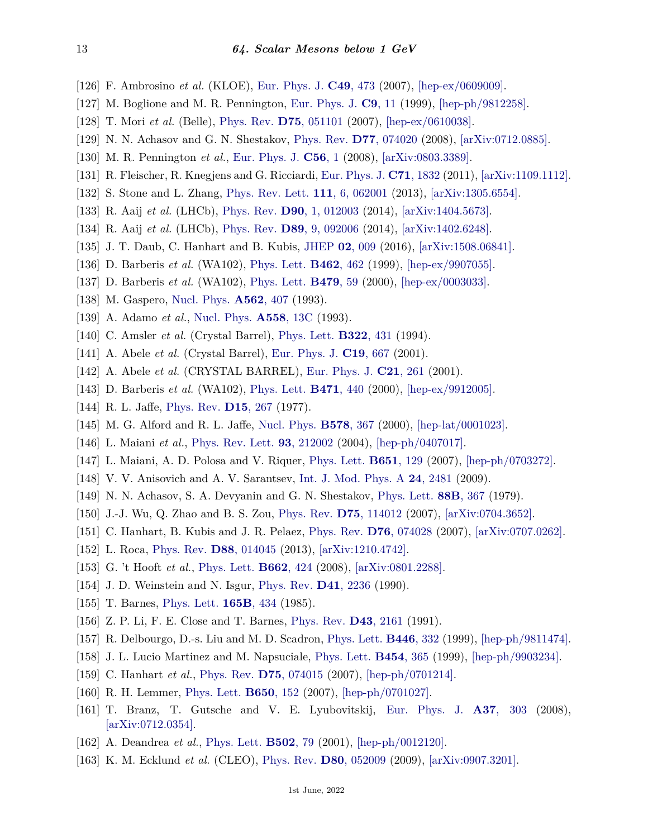- <span id="page-12-2"></span>[126] F. Ambrosino *et al.* (KLOE), [Eur. Phys. J.](http://doi.org/10.1140/epjc/s10052-006-0157-7) **C49**[, 473](http://doi.org/10.1140/epjc/s10052-006-0157-7) (2007), [\[hep-ex/0609009\].](https://arxiv.org/abs/hep-ex/0609009)
- <span id="page-12-6"></span>[127] M. Boglione and M. R. Pennington, [Eur. Phys. J.](http://doi.org/10.1007/s100520050509) **C9**[, 11](http://doi.org/10.1007/s100520050509) (1999), [\[hep-ph/9812258\].](https://arxiv.org/abs/hep-ph/9812258)
- [128] T. Mori *et al.* (Belle), [Phys. Rev.](http://doi.org/10.1103/PhysRevD.75.051101) **D75**[, 051101](http://doi.org/10.1103/PhysRevD.75.051101) (2007), [\[hep-ex/0610038\].](https://arxiv.org/abs/hep-ex/0610038)
- <span id="page-12-7"></span>[129] N. N. Achasov and G. N. Shestakov, [Phys. Rev.](http://doi.org/10.1103/PhysRevD.77.074020) **D77**[, 074020](http://doi.org/10.1103/PhysRevD.77.074020) (2008), [\[arXiv:0712.0885\].](https://arxiv.org/abs/0712.0885)
- <span id="page-12-8"></span>[130] M. R. Pennington *et al.*, [Eur. Phys. J.](http://doi.org/10.1140/epjc/s10052-008-0648-9) **[C56](http://doi.org/10.1140/epjc/s10052-008-0648-9)**, 1 (2008), [\[arXiv:0803.3389\].](https://arxiv.org/abs/0803.3389)
- <span id="page-12-9"></span>[131] R. Fleischer, R. Knegjens and G. Ricciardi, [Eur. Phys. J.](http://doi.org/10.1140/epjc/s10052-011-1832-x) **C71**[, 1832](http://doi.org/10.1140/epjc/s10052-011-1832-x) (2011), [\[arXiv:1109.1112\].](https://arxiv.org/abs/1109.1112)
- <span id="page-12-10"></span>[132] S. Stone and L. Zhang, [Phys. Rev. Lett.](http://doi.org/10.1103/PhysRevLett.111.062001) **111**[, 6, 062001](http://doi.org/10.1103/PhysRevLett.111.062001) (2013), [\[arXiv:1305.6554\].](https://arxiv.org/abs/1305.6554)
- <span id="page-12-11"></span>[133] R. Aaij *et al.* (LHCb), [Phys. Rev.](http://doi.org/10.1103/PhysRevD.90.012003) **D90**[, 1, 012003](http://doi.org/10.1103/PhysRevD.90.012003) (2014), [\[arXiv:1404.5673\].](https://arxiv.org/abs/1404.5673)
- <span id="page-12-12"></span>[134] R. Aaij *et al.* (LHCb), [Phys. Rev.](http://doi.org/10.1103/PhysRevD.89.092006) **D89**[, 9, 092006](http://doi.org/10.1103/PhysRevD.89.092006) (2014), [\[arXiv:1402.6248\].](https://arxiv.org/abs/1402.6248)
- <span id="page-12-1"></span>[135] J. T. Daub, C. Hanhart and B. Kubis, [JHEP](http://doi.org/10.1007/JHEP02(2016)009) **02**[, 009](http://doi.org/10.1007/JHEP02(2016)009) (2016), [\[arXiv:1508.06841\].](https://arxiv.org/abs/1508.06841)
- [136] D. Barberis *et al.* (WA102), [Phys. Lett.](http://doi.org/10.1016/S0370-2693(99)00909-0) **[B462](http://doi.org/10.1016/S0370-2693(99)00909-0)**, 462 (1999), [\[hep-ex/9907055\].](https://arxiv.org/abs/hep-ex/9907055)
- [137] D. Barberis *et al.* (WA102), [Phys. Lett.](http://doi.org/10.1016/S0370-2693(00)00374-9) **[B479](http://doi.org/10.1016/S0370-2693(00)00374-9)**, 59 (2000), [\[hep-ex/0003033\].](https://arxiv.org/abs/hep-ex/0003033)
- [138] M. Gaspero, [Nucl. Phys.](http://doi.org/10.1016/0375-9474(93)90206-D) **[A562](http://doi.org/10.1016/0375-9474(93)90206-D)**, 407 (1993).
- [139] A. Adamo *et al.*, [Nucl. Phys.](http://doi.org/10.1016/0375-9474(93)90379-C) **[A558](http://doi.org/10.1016/0375-9474(93)90379-C)**, 13C (1993).
- [140] C. Amsler *et al.* (Crystal Barrel), [Phys. Lett.](http://doi.org/10.1016/0370-2693(94)91176-2) **[B322](http://doi.org/10.1016/0370-2693(94)91176-2)**, 431 (1994).
- [141] A. Abele *et al.* (Crystal Barrel), [Eur. Phys. J.](http://doi.org/10.1007/s100520100601) **C19**[, 667](http://doi.org/10.1007/s100520100601) (2001).
- [142] A. Abele *et al.* (CRYSTAL BARREL), [Eur. Phys. J.](http://doi.org/10.1007/s100520100735) **C21**[, 261](http://doi.org/10.1007/s100520100735) (2001).
- [143] D. Barberis *et al.* (WA102), [Phys. Lett.](http://doi.org/10.1016/S0370-2693(99)01413-6) **[B471](http://doi.org/10.1016/S0370-2693(99)01413-6)**, 440 (2000), [\[hep-ex/9912005\].](https://arxiv.org/abs/hep-ex/9912005)
- <span id="page-12-13"></span>[144] R. L. Jaffe, [Phys. Rev.](http://doi.org/10.1103/PhysRevD.15.267) **D15**[, 267](http://doi.org/10.1103/PhysRevD.15.267) (1977).
- [145] M. G. Alford and R. L. Jaffe, [Nucl. Phys.](http://doi.org/10.1016/S0550-3213(00)00155-3) **[B578](http://doi.org/10.1016/S0550-3213(00)00155-3)**, 367 (2000), [\[hep-lat/0001023\].](https://arxiv.org/abs/hep-lat/0001023)
- <span id="page-12-0"></span>[146] L. Maiani *et al.*, [Phys. Rev. Lett.](http://doi.org/10.1103/PhysRevLett.93.212002) **93**[, 212002](http://doi.org/10.1103/PhysRevLett.93.212002) (2004), [\[hep-ph/0407017\].](https://arxiv.org/abs/hep-ph/0407017)
- [147] L. Maiani, A. D. Polosa and V. Riquer, [Phys. Lett.](http://doi.org/10.1016/j.physletb.2007.05.051) **[B651](http://doi.org/10.1016/j.physletb.2007.05.051)**, 129 (2007), [\[hep-ph/0703272\].](https://arxiv.org/abs/hep-ph/0703272)
- <span id="page-12-3"></span>[148] V. V. Anisovich and A. V. Sarantsev, [Int. J. Mod. Phys. A](http://doi.org/10.1142/S0217751X09043286) **24**[, 2481](http://doi.org/10.1142/S0217751X09043286) (2009).
- <span id="page-12-4"></span>[149] N. N. Achasov, S. A. Devyanin and G. N. Shestakov, [Phys. Lett.](http://doi.org/10.1016/0370-2693(79)90488-X) **88B**[, 367](http://doi.org/10.1016/0370-2693(79)90488-X) (1979).
- <span id="page-12-21"></span>[150] J.-J. Wu, Q. Zhao and B. S. Zou, [Phys. Rev.](http://doi.org/10.1103/PhysRevD.75.114012) **D75**[, 114012](http://doi.org/10.1103/PhysRevD.75.114012) (2007), [\[arXiv:0704.3652\].](https://arxiv.org/abs/0704.3652)
- <span id="page-12-22"></span>[151] C. Hanhart, B. Kubis and J. R. Pelaez, [Phys. Rev.](http://doi.org/10.1103/PhysRevD.76.074028) **D76**[, 074028](http://doi.org/10.1103/PhysRevD.76.074028) (2007), [\[arXiv:0707.0262\].](https://arxiv.org/abs/0707.0262)
- <span id="page-12-5"></span>[152] L. Roca, [Phys. Rev.](http://doi.org/10.1103/PhysRevD.88.014045) **D88**[, 014045](http://doi.org/10.1103/PhysRevD.88.014045) (2013), [\[arXiv:1210.4742\].](https://arxiv.org/abs/1210.4742)
- <span id="page-12-14"></span>[153] G. 't Hooft *et al.*, [Phys. Lett.](http://doi.org/10.1016/j.physletb.2008.03.036) **[B662](http://doi.org/10.1016/j.physletb.2008.03.036)**, 424 (2008), [\[arXiv:0801.2288\].](https://arxiv.org/abs/0801.2288)
- <span id="page-12-15"></span>[154] J. D. Weinstein and N. Isgur, [Phys. Rev.](http://doi.org/10.1103/PhysRevD.41.2236) **D41**[, 2236](http://doi.org/10.1103/PhysRevD.41.2236) (1990).
- <span id="page-12-16"></span>[155] T. Barnes, [Phys. Lett.](http://doi.org/10.1016/0370-2693(85)91261-4) **[165B](http://doi.org/10.1016/0370-2693(85)91261-4)**, 434 (1985).
- [156] Z. P. Li, F. E. Close and T. Barnes, [Phys. Rev.](http://doi.org/10.1103/PhysRevD.43.2161) **D43**[, 2161](http://doi.org/10.1103/PhysRevD.43.2161) (1991).
- [157] R. Delbourgo, D.-s. Liu and M. D. Scadron, [Phys. Lett.](http://doi.org/10.1016/S0370-2693(98)01538-X) **[B446](http://doi.org/10.1016/S0370-2693(98)01538-X)**, 332 (1999), [\[hep-ph/9811474\].](https://arxiv.org/abs/hep-ph/9811474)
- [158] J. L. Lucio Martinez and M. Napsuciale, [Phys. Lett.](http://doi.org/10.1016/S0370-2693(99)00400-1) **[B454](http://doi.org/10.1016/S0370-2693(99)00400-1)**, 365 (1999), [\[hep-ph/9903234\].](https://arxiv.org/abs/hep-ph/9903234)
- <span id="page-12-20"></span>[159] C. Hanhart *et al.*, [Phys. Rev.](http://doi.org/10.1103/PhysRevD.75.074015) **D75**[, 074015](http://doi.org/10.1103/PhysRevD.75.074015) (2007), [\[hep-ph/0701214\].](https://arxiv.org/abs/hep-ph/0701214)
- [160] R. H. Lemmer, [Phys. Lett.](http://doi.org/10.1016/j.physletb.2007.03.071) **[B650](http://doi.org/10.1016/j.physletb.2007.03.071)**, 152 (2007), [\[hep-ph/0701027\].](https://arxiv.org/abs/hep-ph/0701027)
- <span id="page-12-17"></span>[161] T. Branz, T. Gutsche and V. E. Lyubovitskij, [Eur. Phys. J.](http://doi.org/10.1140/epja/i2008-10635-1) **A37**[, 303](http://doi.org/10.1140/epja/i2008-10635-1) (2008),  $\arXiv:0712.0354$ .
- <span id="page-12-19"></span><span id="page-12-18"></span>[162] A. Deandrea *et al.*, [Phys. Lett.](http://doi.org/10.1016/S0370-2693(01)00183-6) **[B502](http://doi.org/10.1016/S0370-2693(01)00183-6)**, 79 (2001), [\[hep-ph/0012120\].](https://arxiv.org/abs/hep-ph/0012120)
- [163] K. M. Ecklund *et al.* (CLEO), [Phys. Rev.](http://doi.org/10.1103/PhysRevD.80.052009) **D80**[, 052009](http://doi.org/10.1103/PhysRevD.80.052009) (2009), [\[arXiv:0907.3201\].](https://arxiv.org/abs/0907.3201)